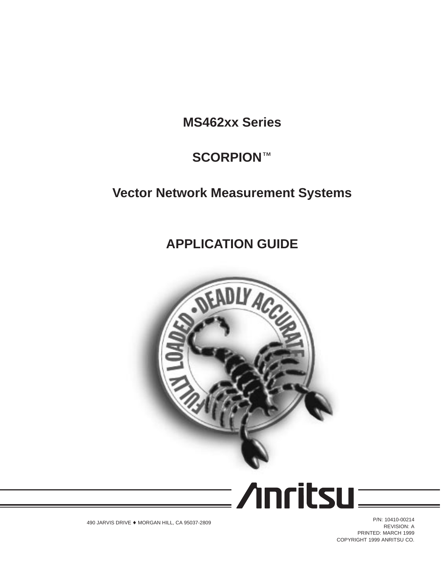**MS462xx Series**

# **SCORPIONä**

# **Vector Network Measurement Systems**

# **APPLICATION GUIDE**



**/Inritsu** 

490 JARVIS DRIVE ♦ MORGAN HILL, CA 95037-2809

P/N: 10410-00214 REVISION: A PRINTED: MARCH 1999 COPYRIGHT 1999 ANRITSU CO.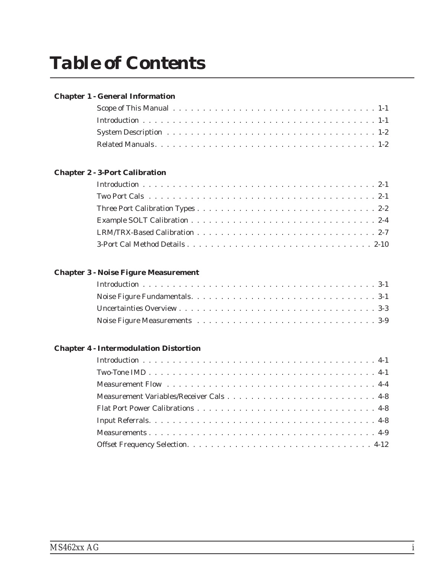## **[Chapter 1 - General Information](#page-3-0)**

## **[Chapter 2 - 3-Port Calibration](#page-5-0)**

## **[Chapter 3 - Noise Figure Measurement](#page-16-0)**

## **[Chapter 4 - Intermodulation Distortion](#page-34-0)**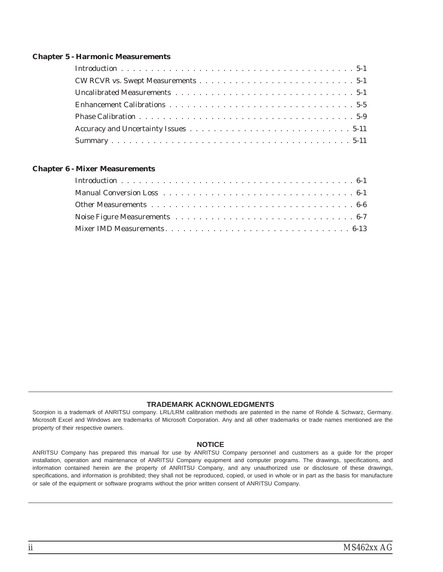### **[Chapter 5 - Harmonic Measurements](#page-46-0)**

### **[Chapter 6 - Mixer Measurements](#page-58-0)**

### **TRADEMARK ACKNOWLEDGMENTS**

Scorpion is a trademark of ANRITSU company. LRL/LRM calibration methods are patented in the name of Rohde & Schwarz, Germany. Microsoft Excel and Windows are trademarks of Microsoft Corporation. Any and all other trademarks or trade names mentioned are the property of their respective owners.

### **NOTICE**

ANRITSU Company has prepared this manual for use by ANRITSU Company personnel and customers as a guide for the proper installation, operation and maintenance of ANRITSU Company equipment and computer programs. The drawings, specifications, and information contained herein are the property of ANRITSU Company, and any unauthorized use or disclosure of these drawings, specifications, and information is prohibited; they shall not be reproduced, copied, or used in whole or in part as the basis for manufacture or sale of the equipment or software programs without the prior written consent of ANRITSU Company.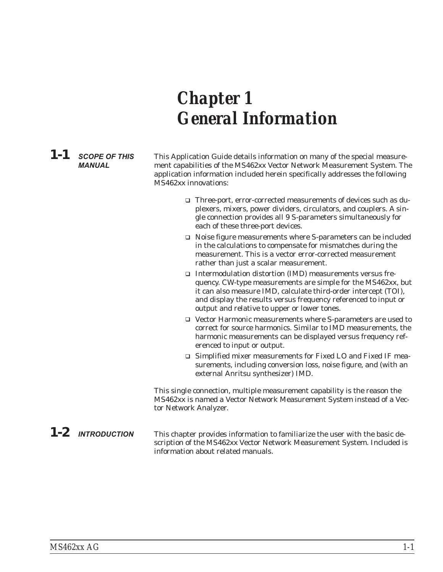# <span id="page-3-0"></span>*Chapter 1 General Information*

*1-1* **SCOPE OF THIS MANUAL**

This Application Guide details information on many of the special measurement capabilities of the MS462xx Vector Network Measurement System. The application information included herein specifically addresses the following MS462xx innovations:

- □ Three-port, error-corrected measurements of devices such as duplexers, mixers, power dividers, circulators, and couplers. A single connection provides all 9 S-parameters simultaneously for each of these three-port devices.
- $\Box$  Noise figure measurements where S-parameters can be included in the calculations to compensate for mismatches during the measurement. This is a vector error-corrected measurement rather than just a scalar measurement.
- □ Intermodulation distortion (IMD) measurements versus frequency. CW-type measurements are simple for the MS462xx, but it can also measure IMD, calculate third-order intercept (TOI), and display the results versus frequency referenced to input or output and relative to upper or lower tones.
- q Vector Harmonic measurements where S-parameters are used to correct for source harmonics. Similar to IMD measurements, the harmonic measurements can be displayed versus frequency referenced to input or output.
- □ Simplified mixer measurements for Fixed LO and Fixed IF measurements, including conversion loss, noise figure, and (with an external Anritsu synthesizer) IMD.

This single connection, multiple measurement capability is the reason the MS462xx is named a Vector Network Measurement System instead of a Vector Network Analyzer.

**1-2** INTRODUCTION This chapter provides information to familiarize the user with the basic description of the MS462xx Vector Network Measurement System. Included is information about related manuals.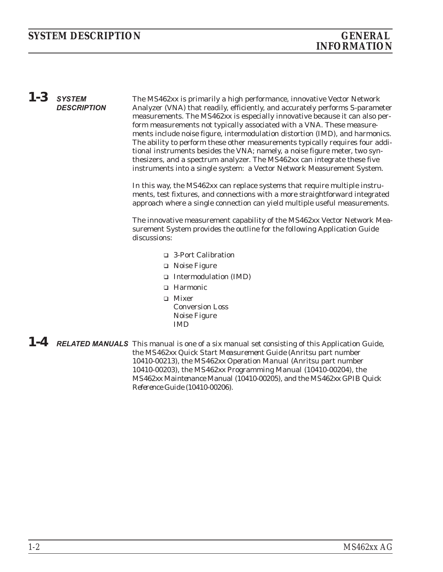# <span id="page-4-0"></span>*INFORMATION*

# *1-3* **SYSTEM DESCRIPTION**

The MS462xx is primarily a high performance, innovative Vector Network Analyzer (VNA) that readily, efficiently, and accurately performs S-parameter measurements. The MS462xx is especially innovative because it can also perform measurements not typically associated with a VNA. These measurements include noise figure, intermodulation distortion (IMD), and harmonics. The ability to perform these other measurements typically requires four additional instruments besides the VNA; namely, a noise figure meter, two synthesizers, and a spectrum analyzer. The MS462xx can integrate these five instruments into a single system: a Vector Network Measurement System.

In this way, the MS462xx can replace systems that require multiple instruments, test fixtures, and connections with a more straightforward integrated approach where a single connection can yield multiple useful measurements.

The innovative measurement capability of the MS462xx Vector Network Measurement System provides the outline for the following Application Guide discussions:

- q 3-Port Calibration
- $\Box$  Noise Figure
- q Intermodulation (IMD)
- q Harmonic
- $\Box$  Mixer Conversion Loss Noise Figure IMD
- *1-4* **RELATED MANUALS** This manual is one of a six manual set consisting of this Application Guide, the *MS462xx Quick Start Measurement Guide* (Anritsu part number 10410-00213), the *MS462xx Operation Manual* (Anritsu part number 10410-00203), the *MS462xx Programming Manual* (10410-00204), the *MS462xx Maintenance Manual* (10410-00205), and the *MS462xx GPIB Quick Reference Guide* (10410-00206).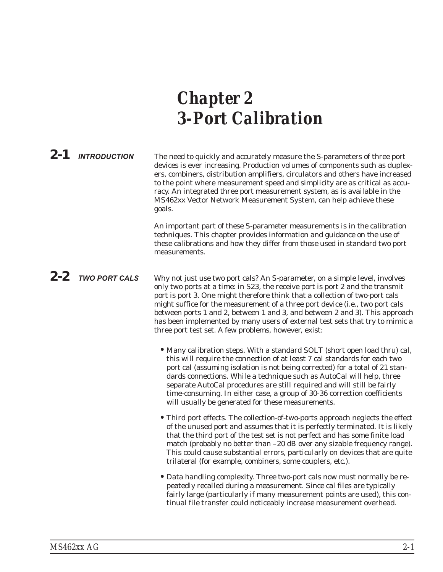# <span id="page-5-0"></span>*Chapter 2 3-Port Calibration*

2-1 **INTRODUCTION** The need to quickly and accurately measure the S-parameters of three port devices is ever increasing. Production volumes of components such as duplexers, combiners, distribution amplifiers, circulators and others have increased to the point where measurement speed and simplicity are as critical as accuracy. An integrated three port measurement system, as is available in the MS462xx Vector Network Measurement System, can help achieve these goals.

> An important part of these S-parameter measurements is in the calibration techniques. This chapter provides information and guidance on the use of these calibrations and how they differ from those used in standard two port measurements.

*2-2* **TWO PORT CALS** Why not just use two port cals? An S-parameter, on a simple level, involves only two ports at a time: in S23, the receive port is port 2 and the transmit port is port 3. One might therefore think that a collection of two-port cals might suffice for the measurement of a three port device (i.e., two port cals between ports 1 and 2, between 1 and 3, and between 2 and 3). This approach has been implemented by many users of external test sets that try to mimic a three port test set. A few problems, however, exist:

- Many calibration steps. With a standard SOLT (short open load thru) cal, this will require the connection of at least 7 cal standards for each two port cal (assuming isolation is not being corrected) for a total of 21 standards connections. While a technique such as AutoCal will help, three separate AutoCal procedures are still required and will still be fairly time-consuming. In either case, a group of 30-36 correction coefficients will usually be generated for these measurements.
- •Third port effects. The collection-of-two-ports approach neglects the effect of the unused port and assumes that it is perfectly terminated. It is likely that the third port of the test set is not perfect and has some finite load match (probably no better than –20 dB over any sizable frequency range). This could cause substantial errors, particularly on devices that are quite trilateral (for example, combiners, some couplers, etc.).
- •Data handling complexity. Three two-port cals now must normally be repeatedly recalled during a measurement. Since cal files are typically fairly large (particularly if many measurement points are used), this continual file transfer could noticeably increase measurement overhead.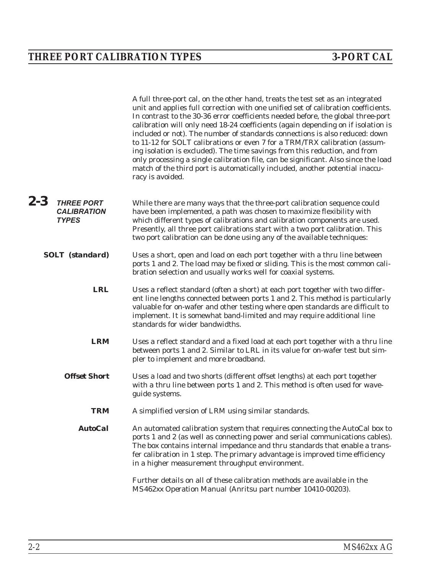<span id="page-6-0"></span>A full three-port cal, on the other hand, treats the test set as an integrated unit and applies full correction with one unified set of calibration coefficients. In contrast to the 30-36 error coefficients needed before, the global three-port calibration will only need 18-24 coefficients (again depending on if isolation is included or not). The number of standards connections is also reduced: down to 11-12 for SOLT calibrations or even 7 for a TRM/TRX calibration (assuming isolation is excluded). The time savings from this reduction, and from only processing a single calibration file, can be significant. Also since the load match of the third port is automatically included, another potential inaccuracy is avoided.

- *2-3* **THREE PORT CALIBRATION TYPES** While there are many ways that the three-port calibration sequence could have been implemented, a path was chosen to maximize flexibility with which different types of calibrations and calibration components are used. Presently, all three port calibrations start with a two port calibration. This two port calibration can be done using any of the available techniques:
	- **SOLT (standard)** Uses a short, open and load on each port together with a thru line between ports 1 and 2. The load may be fixed or sliding. This is the most common calibration selection and usually works well for coaxial systems.
		- *LRL* Uses a reflect standard (often a short) at each port together with two different line lengths connected between ports 1 and 2. This method is particularly valuable for on-wafer and other testing where open standards are difficult to implement. It is somewhat band-limited and may require additional line standards for wider bandwidths.
		- *LRM* Uses a reflect standard and a fixed load at each port together with a thru line between ports 1 and 2. Similar to LRL in its value for on-wafer test but simpler to implement and more broadband.
		- **Offset Short** Uses a load and two shorts (different offset lengths) at each port together with a thru line between ports 1 and 2. This method is often used for waveguide systems.
			- *TRM* A simplified version of LRM using similar standards.
			- *AutoCal* An automated calibration system that requires connecting the AutoCal box to ports 1 and 2 (as well as connecting power and serial communications cables). The box contains internal impedance and thru standards that enable a transfer calibration in 1 step. The primary advantage is improved time efficiency in a higher measurement throughput environment.

Further details on all of these calibration methods are available in the *MS462xx Operation Manual* (Anritsu part number 10410-00203).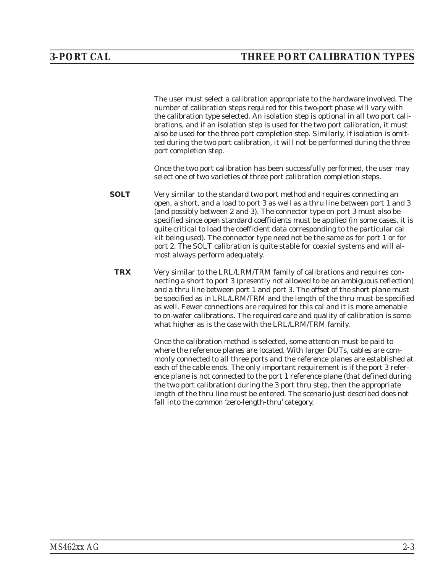The user must select a calibration appropriate to the hardware involved. The number of calibration steps required for this two-port phase will vary with the calibration type selected. An isolation step is optional in all two port calibrations, and if an isolation step is used for the two port calibration, it must also be used for the three port completion step. Similarly, if isolation is omitted during the two port calibration, it will not be performed during the three port completion step.

Once the two port calibration has been successfully performed, the user may select one of two varieties of three port calibration completion steps.

- **SOLT** Very similar to the standard two port method and requires connecting an open, a short, and a load to port 3 as well as a thru line between port 1 and 3 (and possibly between 2 and 3). The connector type on port 3 must also be specified since open standard coefficients must be applied (in some cases, it is quite critical to load the coefficient data corresponding to the particular cal kit being used). The connector type need not be the same as for port 1 or for port 2. The SOLT calibration is quite stable for coaxial systems and will almost always perform adequately.
- *TRX* Very similar to the LRL/LRM/TRM family of calibrations and requires connecting a short to port 3 (presently not allowed to be an ambiguous reflection) and a thru line between port 1 and port 3. The offset of the short plane must be specified as in LRL/LRM/TRM and the length of the thru must be specified as well. Fewer connections are required for this cal and it is more amenable to on-wafer calibrations. The required care and quality of calibration is somewhat higher as is the case with the LRL/LRM/TRM family.

Once the calibration method is selected, some attention must be paid to where the reference planes are located. With larger DUTs, cables are commonly connected to all three ports and the reference planes are established at each of the cable ends. The only important requirement is if the port 3 reference plane is not connected to the port 1 reference plane (that defined during the two port calibration) during the 3 port thru step, then the appropriate length of the thru line must be entered. The scenario just described does not fall into the common 'zero-length-thru' category.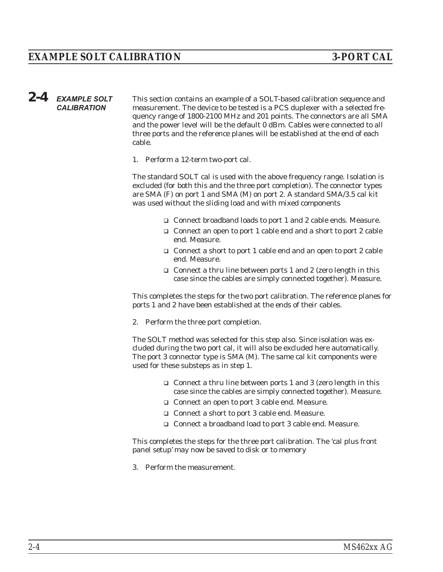# <span id="page-8-0"></span>*2-4* **EXAMPLE SOLT CALIBRATION**

This section contains an example of a SOLT-based calibration sequence and measurement. The device to be tested is a PCS duplexer with a selected frequency range of 1800-2100 MHz and 201 points. The connectors are all SMA and the power level will be the default 0 dBm. Cables were connected to all three ports and the reference planes will be established at the end of each cable.

1. Perform a 12-term two-port cal.

The standard SOLT cal is used with the above frequency range. Isolation is excluded (for both this and the three port completion). The connector types are SMA (F) on port 1 and SMA (M) on port 2. A standard SMA/3.5 cal kit was used without the sliding load and with mixed components

- □ Connect broadband loads to port 1 and 2 cable ends. Measure.
- $\Box$  Connect an open to port 1 cable end and a short to port 2 cable end. Measure.
- $\Box$  Connect a short to port 1 cable end and an open to port 2 cable end. Measure.
- $\Box$  Connect a thru line between ports 1 and 2 (zero length in this case since the cables are simply connected together). Measure.

This completes the steps for the two port calibration. The reference planes for ports 1 and 2 have been established at the ends of their cables.

2. Perform the three port completion.

The SOLT method was selected for this step also. Since isolation was excluded during the two port cal, it will also be excluded here automatically. The port 3 connector type is SMA (M). The same cal kit components were used for these substeps as in step 1.

- $\Box$  Connect a thru line between ports 1 and 3 (zero length in this case since the cables are simply connected together). Measure.
- □ Connect an open to port 3 cable end. Measure.
- □ Connect a short to port 3 cable end. Measure.
- □ Connect a broadband load to port 3 cable end. Measure.

This completes the steps for the three port calibration. The 'cal plus front panel setup' may now be saved to disk or to memory

3. Perform the measurement.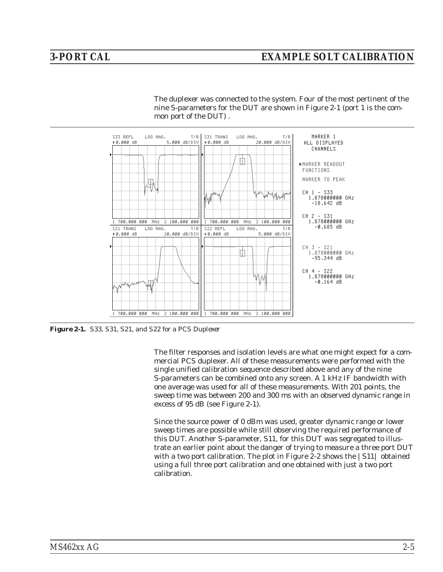<span id="page-9-0"></span>The duplexer was connected to the system. Four of the most pertinent of the nine S-parameters for the DUT are shown in Figure [2-1](#page-9-0) (port 1 is the common port of the DUT) .



*Figure 2-1. S33, S31, S21, and S22 for a PCS Duplexer*

The filter responses and isolation levels are what one might expect for a commercial PCS duplexer. All of these measurements were performed with the single unified calibration sequence described above and any of the nine S-parameters can be combined onto any screen. A 1 kHz IF bandwidth with one average was used for all of these measurements. With 201 points, the sweep time was between 200 and 300 ms with an observed dynamic range in excess of 95 dB (see Figure [2](#page-9-0)-[1](#page-9-0)).

Since the source power of 0 dBm was used, greater dynamic range or lower sweep times are possible while still observing the required performance of this DUT. Another S-parameter, S11, for this DUT was segregated to illustrate an earlier point about the danger of trying to measure a three port DUT with a two port calibration. The plot in Figure [2-2](#page-10-0) shows the  $|S11|$  obtained using a full three port calibration and one obtained with just a two port calibration.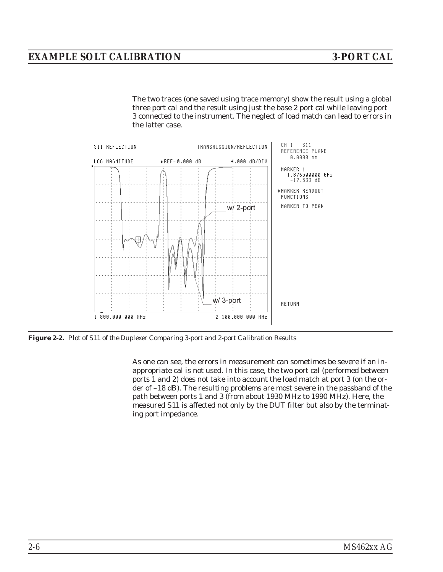# <span id="page-10-0"></span>*EXAMPLE SOLT CALIBRATION 3-PORT CAL*

The two traces (one saved using trace memory) show the result using a global three port cal and the result using just the base 2 port cal while leaving port 3 connected to the instrument. The neglect of load match can lead to errors in the latter case.



*Figure 2-2. Plot of S11 of the Duplexer Comparing 3-port and 2-port Calibration Results*

As one can see, the errors in measurement can sometimes be severe if an inappropriate cal is not used. In this case, the two port cal (performed between ports 1 and 2) does not take into account the load match at port 3 (on the order of –18 dB). The resulting problems are most severe in the passband of the path between ports 1 and 3 (from about 1930 MHz to 1990 MHz). Here, the measured S11 is affected not only by the DUT filter but also by the terminating port impedance.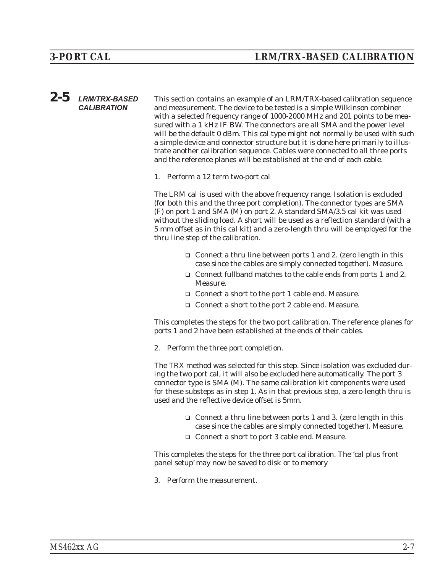<span id="page-11-0"></span>*2-5* **LRM/TRX-BASED CALIBRATION** This section contains an example of an LRM/TRX-based calibration sequence and measurement. The device to be tested is a simple Wilkinson combiner with a selected frequency range of 1000-2000 MHz and 201 points to be measured with a 1 kHz IF BW. The connectors are all SMA and the power level will be the default 0 dBm. This cal type might not normally be used with such a simple device and connector structure but it is done here primarily to illustrate another calibration sequence. Cables were connected to all three ports and the reference planes will be established at the end of each cable.

1. Perform a 12 term two-port cal

The LRM cal is used with the above frequency range. Isolation is excluded (for both this and the three port completion). The connector types are SMA (F) on port 1 and SMA (M) on port 2. A standard SMA/3.5 cal kit was used without the sliding load. A short will be used as a reflection standard (with a 5 mm offset as in this cal kit) and a zero-length thru will be employed for the thru line step of the calibration.

- $\Box$  Connect a thru line between ports 1 and 2. (zero length in this case since the cables are simply connected together). Measure.
- $\Box$  Connect fullband matches to the cable ends from ports 1 and 2. Measure.
- □ Connect a short to the port 1 cable end. Measure.
- □ Connect a short to the port 2 cable end. Measure.

This completes the steps for the two port calibration. The reference planes for ports 1 and 2 have been established at the ends of their cables.

2. Perform the three port completion.

The TRX method was selected for this step. Since isolation was excluded during the two port cal, it will also be excluded here automatically. The port 3 connector type is SMA (M). The same calibration kit components were used for these substeps as in step 1. As in that previous step, a zero-length thru is used and the reflective device offset is 5mm.

- $\Box$  Connect a thru line between ports 1 and 3. (zero length in this case since the cables are simply connected together). Measure.
- □ Connect a short to port 3 cable end. Measure.

This completes the steps for the three port calibration. The 'cal plus front panel setup' may now be saved to disk or to memory

3. Perform the measurement.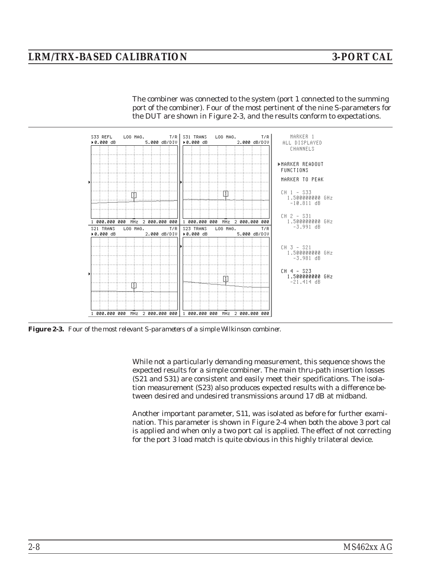# <span id="page-12-0"></span>*LRM/TRX-BASED CALIBRATION 3-PORT CAL*

The combiner was connected to the system (port 1 connected to the summing port of the combiner). Four of the most pertinent of the nine S-parameters for the DUT are shown in Figure [2](#page-12-0)-[3](#page-12-0), and the results conform to expectations.



*Figure 2-3. Four of the most relevant S-parameters of a simple Wilkinson combiner.*

While not a particularly demanding measurement, this sequence shows the expected results for a simple combiner. The main thru-path insertion losses (S21 and S31) are consistent and easily meet their specifications. The isolation measurement (S23) also produces expected results with a difference between desired and undesired transmissions around 17 dB at midband.

Another important parameter, S11, was isolated as before for further examination. This parameter is shown in Figure [2-4](#page-13-0) when both the above 3 port cal is applied and when only a two port cal is applied. The effect of not correcting for the port 3 load match is quite obvious in this highly trilateral device.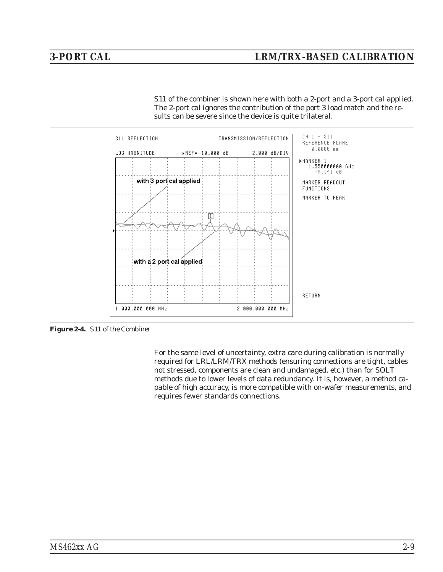<span id="page-13-0"></span>S11 of the combiner is shown here with both a 2-port and a 3-port cal applied. The 2-port cal ignores the contribution of the port 3 load match and the results can be severe since the device is quite trilateral.



*Figure 2-4. S11 of the Combiner*

For the same level of uncertainty, extra care during calibration is normally required for LRL/LRM/TRX methods (ensuring connections are tight, cables not stressed, components are clean and undamaged, etc.) than for SOLT methods due to lower levels of data redundancy. It is, however, a method capable of high accuracy, is more compatible with on-wafer measurements, and requires fewer standards connections.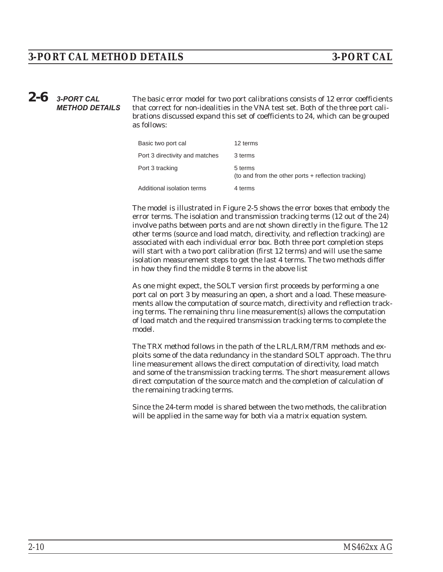# <span id="page-14-0"></span>*2-6* **3-PORT CAL METHOD DETAILS**

The basic error model for two port calibrations consists of 12 error coefficients that correct for non-idealities in the VNA test set. Both of the three port calibrations discussed expand this set of coefficients to 24, which can be grouped as follows:

| Basic two port cal             | 12 terms                                                       |
|--------------------------------|----------------------------------------------------------------|
| Port 3 directivity and matches | 3 terms                                                        |
| Port 3 tracking                | 5 terms<br>(to and from the other ports + reflection tracking) |
| Additional isolation terms     | 4 terms                                                        |

The model is illustrated in Figure [2](#page-15-0)-[5](#page-15-0) shows the error boxes that embody the error terms. The isolation and transmission tracking terms (12 out of the 24) involve paths between ports and are not shown directly in the figure. The 12 other terms (source and load match, directivity, and reflection tracking) are associated with each individual error box. Both three port completion steps will start with a two port calibration (first 12 terms) and will use the same isolation measurement steps to get the last 4 terms. The two methods differ in how they find the middle 8 terms in the above list

As one might expect, the SOLT version first proceeds by performing a one port cal on port 3 by measuring an open, a short and a load. These measurements allow the computation of source match, directivity and reflection tracking terms. The remaining thru line measurement(s) allows the computation of load match and the required transmission tracking terms to complete the model.

The TRX method follows in the path of the LRL/LRM/TRM methods and exploits some of the data redundancy in the standard SOLT approach. The thru line measurement allows the direct computation of directivity, load match and some of the transmission tracking terms. The short measurement allows direct computation of the source match and the completion of calculation of the remaining tracking terms.

Since the 24-term model is shared between the two methods, the calibration will be applied in the same way for both via a matrix equation system.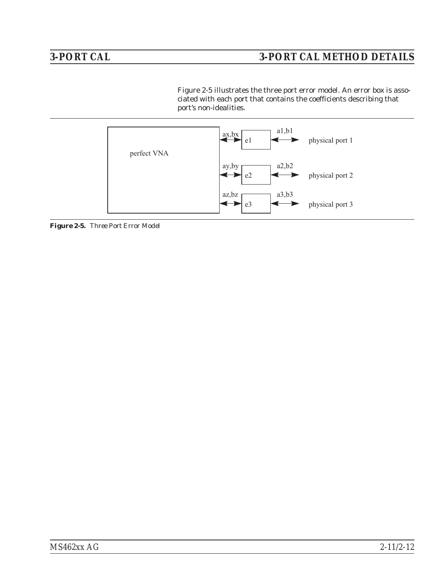<span id="page-15-0"></span>Figure [2](#page-15-0)-[5](#page-15-0) illustrates the three port error model. An error box is associated with each port that contains the coefficients describing that port's non-idealities.



*Figure 2-5. Three Port Error Model*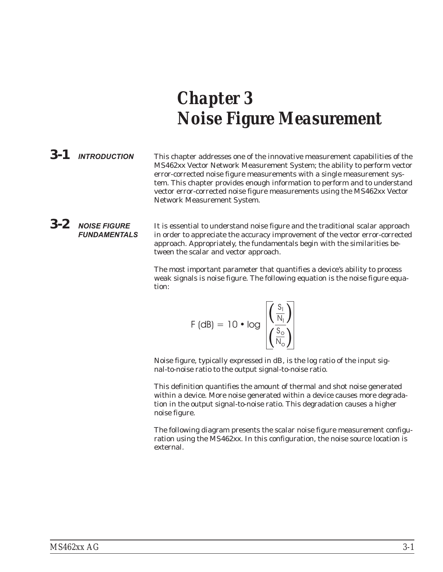# <span id="page-16-0"></span>*Chapter 3 Noise Figure Measurement*

*3-1* **INTRODUCTION** This chapter addresses one of the innovative measurement capabilities of the MS462xx Vector Network Measurement System; the ability to perform vector error-corrected noise figure measurements with a single measurement system. This chapter provides enough information to perform and to understand vector error-corrected noise figure measurements using the MS462xx Vector Network Measurement System.

*3-2* **NOISE FIGURE FUNDAMENTALS** It is essential to understand noise figure and the traditional scalar approach in order to appreciate the accuracy improvement of the vector error-corrected approach. Appropriately, the fundamentals begin with the similarities between the scalar and vector approach.

> The most important parameter that quantifies a device's ability to process weak signals is noise figure. The following equation is the noise figure equation:

$$
F (dB) = 10 \cdot log \frac{\left(\frac{S_1}{N_1}\right)}{\left(\frac{S_0}{N_0}\right)}
$$

Noise figure, typically expressed in dB, is the log ratio of the input signal-to-noise ratio to the output signal-to-noise ratio.

This definition quantifies the amount of thermal and shot noise generated within a device. More noise generated within a device causes more degradation in the output signal-to-noise ratio. This degradation causes a higher noise figure.

The following diagram presents the scalar noise figure measurement configuration using the MS462xx. In this configuration, the noise source location is external.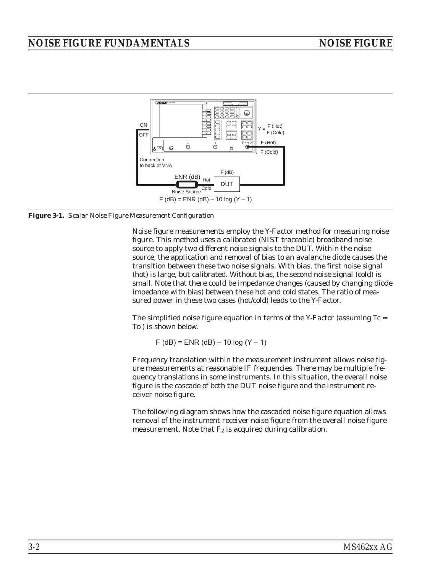# *NOISE FIGURE FUNDAMENTALS NOISE FIGURE*



*Figure 3-1. Scalar Noise Figure Measurement Configuration*

Noise figure measurements employ the Y-Factor method for measuring noise figure. This method uses a calibrated (NIST traceable) broadband noise source to apply two different noise signals to the DUT. Within the noise source, the application and removal of bias to an avalanche diode causes the transition between these two noise signals. With bias, the first noise signal (hot) is large, but calibrated. Without bias, the second noise signal (cold) is small. Note that there could be impedance changes (caused by changing diode impedance with bias) between these hot and cold states. The ratio of measured power in these two cases (hot/cold) leads to the Y-Factor.

The simplified noise figure equation in terms of the Y-Factor (assuming  $Tc =$ To ) is shown below.

 $F$  (dB) = ENR (dB) – 10 log (Y – 1)

Frequency translation within the measurement instrument allows noise figure measurements at reasonable IF frequencies. There may be multiple frequency translations in some instruments. In this situation, the overall noise figure is the cascade of both the DUT noise figure and the instrument receiver noise figure.

The following diagram shows how the cascaded noise figure equation allows removal of the instrument receiver noise figure from the overall noise figure measurement. Note that  $F_2$  is acquired during calibration.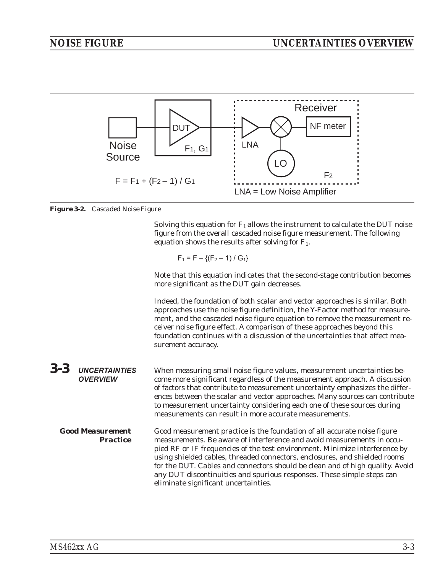<span id="page-18-0"></span>

*Figure 3-2. Cascaded Noise Figure*

Solving this equation for  $F_1$  allows the instrument to calculate the DUT noise figure from the overall cascaded noise figure measurement. The following equation shows the results after solving for  $F_1$ .

$$
F_1 = F - \{(F_2 - 1) / G_1\}
$$

Note that this equation indicates that the second-stage contribution becomes more significant as the DUT gain decreases.

Indeed, the foundation of both scalar and vector approaches is similar. Both approaches use the noise figure definition, the Y-Factor method for measurement, and the cascaded noise figure equation to remove the measurement receiver noise figure effect. A comparison of these approaches beyond this foundation continues with a discussion of the uncertainties that affect measurement accuracy.

| $3 - 3$ | <b>UNCERTAINTIES</b><br><b>OVERVIEW</b>    | When measuring small noise figure values, measurement uncertainties be-<br>come more significant regardless of the measurement approach. A discussion<br>of factors that contribute to measurement uncertainty emphasizes the differ-<br>ences between the scalar and vector approaches. Many sources can contribute<br>to measurement uncertainty considering each one of these sources during<br>measurements can result in more accurate measurements.                  |
|---------|--------------------------------------------|----------------------------------------------------------------------------------------------------------------------------------------------------------------------------------------------------------------------------------------------------------------------------------------------------------------------------------------------------------------------------------------------------------------------------------------------------------------------------|
|         | <b>Good Measurement</b><br><b>Practice</b> | Good measurement practice is the foundation of all accurate noise figure<br>measurements. Be aware of interference and avoid measurements in occu-<br>pied RF or IF frequencies of the test environment. Minimize interference by<br>using shielded cables, threaded connectors, enclosures, and shielded rooms<br>for the DUT. Cables and connectors should be clean and of high quality. Avoid<br>any DUT discontinuities and spurious responses. These simple steps can |

eliminate significant uncertainties.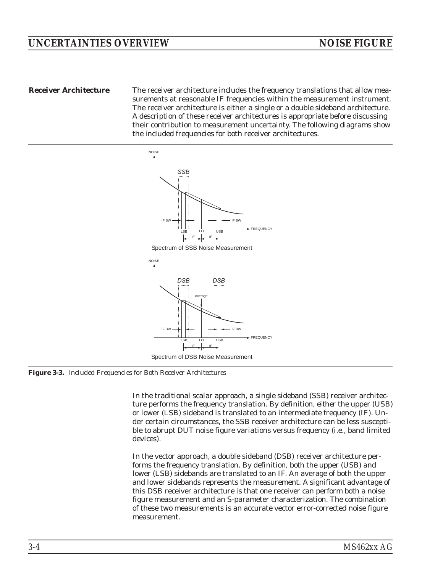*Receiver Architecture* The receiver architecture includes the frequency translations that allow measurements at reasonable IF frequencies within the measurement instrument. The receiver architecture is either a single or a double sideband architecture. A description of these receiver architectures is appropriate before discussing their contribution to measurement uncertainty. The following diagrams show the included frequencies for both receiver architectures.



*Figure 3-3. Included Frequencies for Both Receiver Architectures*

In the traditional scalar approach, a single sideband (SSB) receiver architecture performs the frequency translation. By definition, *either* the upper (USB) *or* lower (LSB) sideband is translated to an intermediate frequency (IF). Under certain circumstances, the SSB receiver architecture can be less susceptible to abrupt DUT noise figure variations versus frequency (i.e., band limited devices).

In the vector approach, a double sideband (DSB) receiver architecture performs the frequency translation. By definition, *both* the upper (USB) *and* lower (LSB) sidebands are translated to an IF. An average of both the upper and lower sidebands represents the measurement. A significant advantage of this DSB receiver architecture is that one receiver can perform both a noise figure measurement and an S-parameter characterization. The combination of these two measurements is an accurate vector error-corrected noise figure measurement.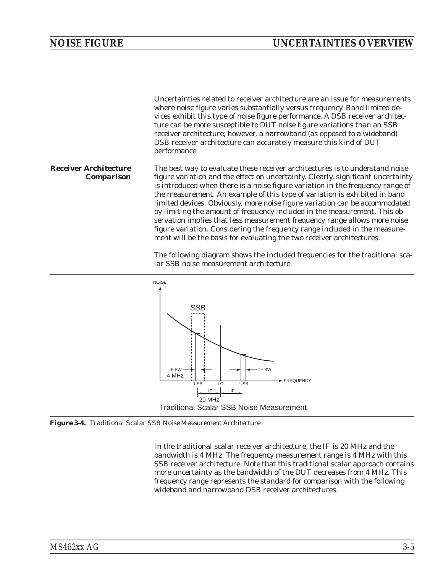

The following diagram shows the included frequencies for the traditional scalar SSB noise measurement architecture.



*Figure 3-4. Traditional Scalar SSB Noise Measurement Architecture*

In the traditional scalar receiver architecture, the IF is 20 MHz and the bandwidth is 4 MHz. The frequency measurement range is 4 MHz with this SSB receiver architecture. Note that this traditional scalar approach contains more uncertainty as the bandwidth of the DUT decreases from 4 MHz. This frequency range represents the standard for comparison with the following wideband and narrowband DSB receiver architectures.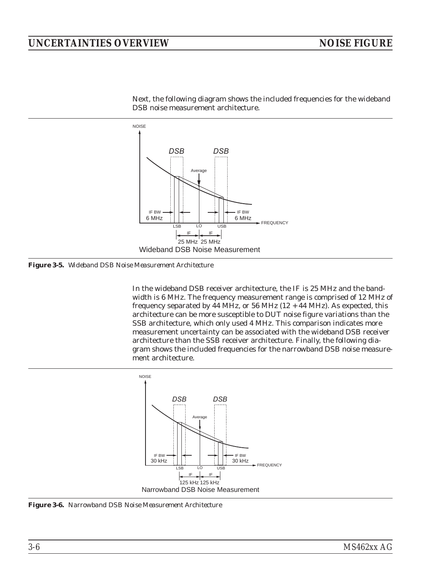# *UNCERTAINTIES OVERVIEW NOISE FIGURE*



Next, the following diagram shows the included frequencies for the wideband DSB noise measurement architecture.

*Figure 3-5. Wideband DSB Noise Measurement Architecture*

In the wideband DSB receiver architecture, the IF is 25 MHz and the bandwidth is 6 MHz. The frequency measurement range is comprised of 12 MHz of frequency separated by  $\overline{44}$  MHz, or 56 MHz (12 +  $\overline{44}$  MHz). As expected, this architecture can be more susceptible to DUT noise figure variations than the SSB architecture, which only used 4 MHz. This comparison indicates more measurement uncertainty can be associated with the wideband DSB receiver architecture than the SSB receiver architecture. Finally, the following diagram shows the included frequencies for the narrowband DSB noise measurement architecture.



*Figure 3-6. Narrowband DSB Noise Measurement Architecture*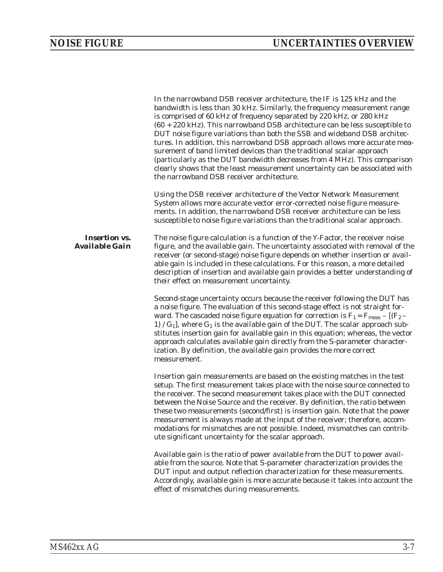|                                               | In the narrowband DSB receiver architecture, the IF is 125 kHz and the<br>bandwidth is less than 30 kHz. Similarly, the frequency measurement range<br>is comprised of 60 kHz of frequency separated by 220 kHz, or 280 kHz<br>$(60 + 220 \text{ kHz})$ . This narrowband DSB architecture can be less susceptible to<br>DUT noise figure variations than both the SSB and wideband DSB architec-<br>tures. In addition, this narrowband DSB approach allows more accurate mea-<br>surement of band limited devices than the traditional scalar approach<br>(particularly as the DUT bandwidth decreases from 4 MHz). This comparison<br>clearly shows that the least measurement uncertainty can be associated with<br>the narrowband DSB receiver architecture. |
|-----------------------------------------------|-------------------------------------------------------------------------------------------------------------------------------------------------------------------------------------------------------------------------------------------------------------------------------------------------------------------------------------------------------------------------------------------------------------------------------------------------------------------------------------------------------------------------------------------------------------------------------------------------------------------------------------------------------------------------------------------------------------------------------------------------------------------|
|                                               | Using the DSB receiver architecture of the Vector Network Measurement<br>System allows more accurate vector error-corrected noise figure measure-<br>ments. In addition, the narrowband DSB receiver architecture can be less<br>susceptible to noise figure variations than the traditional scalar approach.                                                                                                                                                                                                                                                                                                                                                                                                                                                     |
| <b>Insertion vs.</b><br><b>Available Gain</b> | The noise figure calculation is a function of the Y-Factor, the receiver noise<br>figure, and the available gain. The uncertainty associated with removal of the<br>receiver (or second-stage) noise figure depends on whether insertion or avail-<br>able gain is included in these calculations. For this reason, a more detailed<br>description of insertion and available gain provides a better understanding of<br>their effect on measurement uncertainty.                                                                                                                                                                                                                                                                                                 |
|                                               | Second-stage uncertainty occurs because the receiver following the DUT has<br>a noise figure. The evaluation of this second-stage effect is not straight for-<br>ward. The cascaded noise figure equation for correction is $F_1 = F_{\text{meas}} - [(F_2 -$<br>1) $/G_1$ ], where $G_1$ is the available gain of the DUT. The scalar approach sub-<br>stitutes insertion gain for available gain in this equation; whereas, the vector<br>approach calculates available gain directly from the S-parameter character-<br>ization. By definition, the available gain provides the more correct<br>measurement.                                                                                                                                                   |
|                                               | Insertion gain measurements are based on the existing matches in the test<br>setup. The first measurement takes place with the noise source connected to<br>the receiver. The second measurement takes place with the DUT connected<br>between the Noise Source and the receiver. By definition, the ratio between<br>these two measurements (second/first) is insertion gain. Note that the power<br>measurement is always made at the input of the receiver; therefore, accom-<br>modations for mismatches are not possible. Indeed, mismatches can contrib-<br>ute significant uncertainty for the scalar approach.                                                                                                                                            |
|                                               | Available gain is the ratio of power available from the DUT to power avail-<br>able from the source. Note that S-parameter characterization provides the<br>DUT input and output reflection characterization for these measurements.<br>Accordingly, available gain is more accurate because it takes into account the<br>effect of mismatches during measurements.                                                                                                                                                                                                                                                                                                                                                                                               |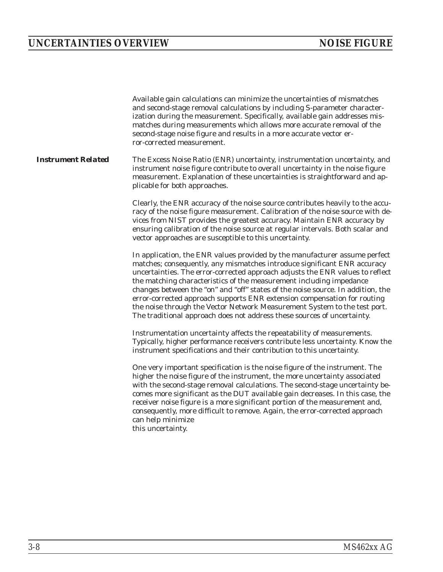|                           | Available gain calculations can minimize the uncertainties of mismatches<br>and second-stage removal calculations by including S-parameter character-<br>ization during the measurement. Specifically, available gain addresses mis-<br>matches during measurements which allows more accurate removal of the<br>second-stage noise figure and results in a more accurate vector er-<br>ror-corrected measurement.                                                                                                                                                                                                                    |
|---------------------------|---------------------------------------------------------------------------------------------------------------------------------------------------------------------------------------------------------------------------------------------------------------------------------------------------------------------------------------------------------------------------------------------------------------------------------------------------------------------------------------------------------------------------------------------------------------------------------------------------------------------------------------|
| <b>Instrument Related</b> | The Excess Noise Ratio (ENR) uncertainty, instrumentation uncertainty, and<br>instrument noise figure contribute to overall uncertainty in the noise figure<br>measurement. Explanation of these uncertainties is straightforward and ap-<br>plicable for both approaches.                                                                                                                                                                                                                                                                                                                                                            |
|                           | Clearly, the ENR accuracy of the noise source contributes heavily to the accu-<br>racy of the noise figure measurement. Calibration of the noise source with de-<br>vices from NIST provides the greatest accuracy. Maintain ENR accuracy by<br>ensuring calibration of the noise source at regular intervals. Both scalar and<br>vector approaches are susceptible to this uncertainty.                                                                                                                                                                                                                                              |
|                           | In application, the ENR values provided by the manufacturer assume perfect<br>matches; consequently, any mismatches introduce significant ENR accuracy<br>uncertainties. The error-corrected approach adjusts the ENR values to reflect<br>the matching characteristics of the measurement including impedance<br>changes between the "on" and "off" states of the noise source. In addition, the<br>error-corrected approach supports ENR extension compensation for routing<br>the noise through the Vector Network Measurement System to the test port.<br>The traditional approach does not address these sources of uncertainty. |
|                           | Instrumentation uncertainty affects the repeatability of measurements.<br>Typically, higher performance receivers contribute less uncertainty. Know the<br>instrument specifications and their contribution to this uncertainty.                                                                                                                                                                                                                                                                                                                                                                                                      |
|                           | One very important specification is the noise figure of the instrument. The<br>higher the noise figure of the instrument, the more uncertainty associated<br>with the second-stage removal calculations. The second-stage uncertainty be-<br>comes more significant as the DUT available gain decreases. In this case, the<br>receiver noise figure is a more significant portion of the measurement and,<br>consequently, more difficult to remove. Again, the error-corrected approach<br>can help minimize<br>this uncertainty.                                                                                                    |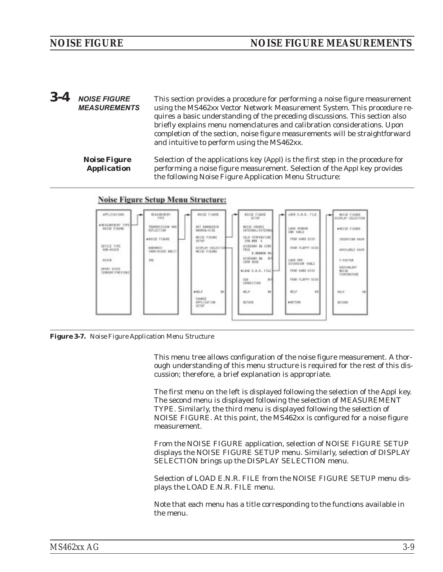<span id="page-24-0"></span>*3-4* **NOISE FIGURE MEASUREMENTS** This section provides a procedure for performing a noise figure measurement using the MS462xx Vector Network Measurement System. This procedure requires a basic understanding of the preceding discussions. This section also briefly explains menu nomenclatures and calibration considerations. Upon completion of the section, noise figure measurements will be straightforward and intuitive to perform using the MS462xx.

*Noise Figure Application* Selection of the applications key (Appl) is the first step in the procedure for performing a noise figure measurement. Selection of the Appl key provides the following Noise Figure Application Menu Structure:



## **Noise Figure Setup Menu Structure:**

*Figure 3-7. Noise Figure Application Menu Structure*

This menu tree allows configuration of the noise figure measurement. A thorough understanding of this menu structure is required for the rest of this discussion; therefore, a brief explanation is appropriate.

The first menu on the left is displayed following the selection of the Appl key. The second menu is displayed following the selection of MEASUREMENT TYPE. Similarly, the third menu is displayed following the selection of NOISE FIGURE. At this point, the MS462xx is configured for a noise figure measurement.

From the NOISE FIGURE application, selection of NOISE FIGURE SETUP displays the NOISE FIGURE SETUP menu. Similarly, selection of DISPLAY SELECTION brings up the DISPLAY SELECTION menu.

Selection of LOAD E.N.R. FILE from the NOISE FIGURE SETUP menu displays the LOAD E.N.R. FILE menu.

Note that each menu has a title corresponding to the functions available in the menu.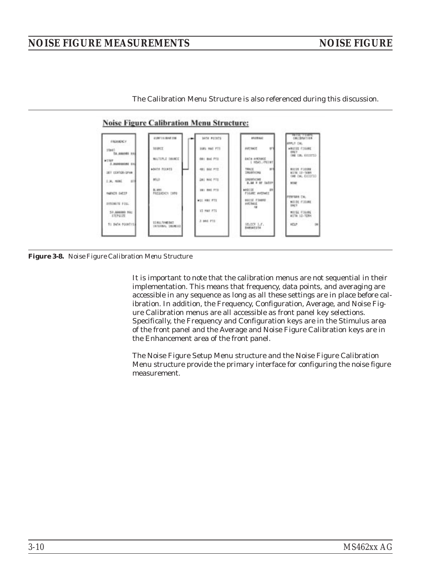The Calibration Menu Structure is also referenced during this discussion.



*Figure 3-8. Noise Figure Calibration Menu Structure*

It is important to note that the calibration menus are not sequential in their implementation. This means that frequency, data points, and averaging are accessible in any sequence as long as all these settings are in place before calibration. In addition, the Frequency, Configuration, Average, and Noise Figure Calibration menus are all accessible as front panel key selections. Specifically, the Frequency and Configuration keys are in the Stimulus area of the front panel and the Average and Noise Figure Calibration keys are in the Enhancement area of the front panel.

The Noise Figure Setup Menu structure and the Noise Figure Calibration Menu structure provide the primary interface for configuring the noise figure measurement.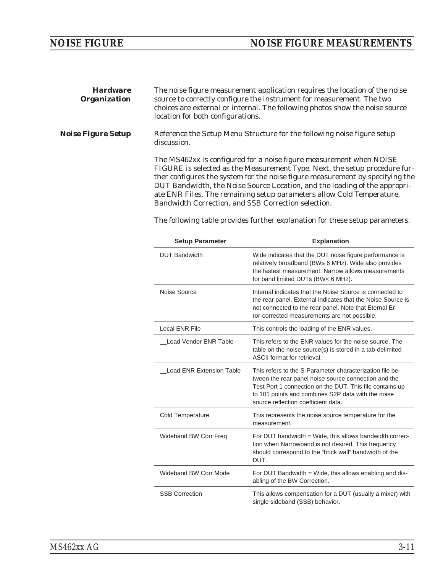| <b>Hardware</b><br><b>Organization</b> | The noise figure measurement application requires the location of the noise<br>source to correctly configure the instrument for measurement. The two<br>choices are external or internal. The following photos show the noise source<br>location for both configurations.                                                                                                                                                                        |
|----------------------------------------|--------------------------------------------------------------------------------------------------------------------------------------------------------------------------------------------------------------------------------------------------------------------------------------------------------------------------------------------------------------------------------------------------------------------------------------------------|
| <i><b>Noise Figure Setup</b></i>       | Reference the Setup Menu Structure for the following noise figure setup<br>discussion.                                                                                                                                                                                                                                                                                                                                                           |
|                                        | The MS462xx is configured for a noise figure measurement when NOISE<br>FIGURE is selected as the Measurement Type. Next, the setup procedure fur-<br>ther configures the system for the noise figure measurement by specifying the<br>DUT Bandwidth, the Noise Source Location, and the loading of the appropri-<br>ate ENR Files. The remaining setup parameters allow Cold Temperature,<br>Bandwidth Correction, and SSB Correction selection. |

The following table provides further explanation for these setup parameters.

| <b>Setup Parameter</b>          | <b>Explanation</b>                                                                                                                                                                                                                                                        |
|---------------------------------|---------------------------------------------------------------------------------------------------------------------------------------------------------------------------------------------------------------------------------------------------------------------------|
| <b>DUT Bandwidth</b>            | Wide indicates that the DUT noise figure performance is<br>relatively broadband (BW≥ 6 MHz). Wide also provides<br>the fastest measurement. Narrow allows measurements<br>for band limited DUTs (BW< 6 MHz).                                                              |
| Noise Source                    | Internal indicates that the Noise Source is connected to<br>the rear panel. External indicates that the Noise Source is<br>not connected to the rear panel. Note that Eternal Er-<br>ror-corrected measurements are not possible.                                         |
| Local ENR File                  | This controls the loading of the ENR values.                                                                                                                                                                                                                              |
| Load Vendor ENR Table           | This refers to the ENR values for the noise source. The<br>table on the noise source(s) is stored in a tab-delimited<br><b>ASCII</b> format for retrieval.                                                                                                                |
| <b>Load ENR Extension Table</b> | This refers to the S-Parameter characterization file be-<br>tween the rear panel noise source connection and the<br>Test Port 1 connection on the DUT. This file contains up<br>to 101 points and combines S2P data with the noise<br>source reflection coefficient data. |
| <b>Cold Temperature</b>         | This represents the noise source temperature for the<br>measurement.                                                                                                                                                                                                      |
| Wideband BW Corr Freq           | For DUT bandwidth = Wide, this allows bandwidth correc-<br>tion when Narrowband is not desired. This frequency<br>should correspond to the "brick wall" bandwidth of the<br>DUT.                                                                                          |
| Wideband BW Corr Mode           | For DUT Bandwidth = Wide, this allows enabling and dis-<br>abling of the BW Correction.                                                                                                                                                                                   |
| <b>SSB Correction</b>           | This allows compensation for a DUT (usually a mixer) with<br>single sideband (SSB) behavior.                                                                                                                                                                              |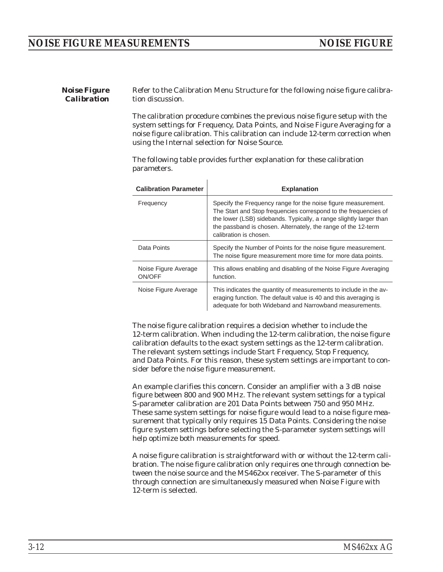*Noise Figure Calibration* Refer to the Calibration Menu Structure for the following noise figure calibration discussion.

> The calibration procedure combines the previous noise figure setup with the system settings for Frequency, Data Points, and Noise Figure Averaging for a noise figure calibration. This calibration can include 12-term correction when using the Internal selection for Noise Source.

The following table provides further explanation for these calibration parameters.

| <b>Calibration Parameter</b>   | <b>Explanation</b>                                                                                                                                                                                                                                                                                |  |
|--------------------------------|---------------------------------------------------------------------------------------------------------------------------------------------------------------------------------------------------------------------------------------------------------------------------------------------------|--|
| Frequency                      | Specify the Frequency range for the noise figure measurement.<br>The Start and Stop frequencies correspond to the frequencies of<br>the lower (LSB) sidebands. Typically, a range slightly larger than<br>the passband is chosen. Alternately, the range of the 12-term<br>calibration is chosen. |  |
| Data Points                    | Specify the Number of Points for the noise figure measurement.<br>The noise figure measurement more time for more data points.                                                                                                                                                                    |  |
| Noise Figure Average<br>ON/OFF | This allows enabling and disabling of the Noise Figure Averaging<br>function.                                                                                                                                                                                                                     |  |
| Noise Figure Average           | This indicates the quantity of measurements to include in the av-<br>eraging function. The default value is 40 and this averaging is<br>adequate for both Wideband and Narrowband measurements.                                                                                                   |  |

The noise figure calibration requires a decision whether to include the 12-term calibration. When including the 12-term calibration, the noise figure calibration defaults to the exact system settings as the 12-term calibration. The relevant system settings include Start Frequency, Stop Frequency, and Data Points. For this reason, these system settings are important to consider before the noise figure measurement.

An example clarifies this concern. Consider an amplifier with a 3 dB noise figure between 800 and 900 MHz. The relevant system settings for a typical S-parameter calibration are 201 Data Points between 750 and 950 MHz. These same system settings for noise figure would lead to a noise figure measurement that typically only requires 15 Data Points. Considering the noise figure system settings before selecting the S-parameter system settings will help optimize both measurements for speed.

A noise figure calibration is straightforward with or without the 12-term calibration. The noise figure calibration only requires one through connection between the noise source and the MS462xx receiver. The S-parameter of this through connection are simultaneously measured when Noise Figure with 12-term is selected.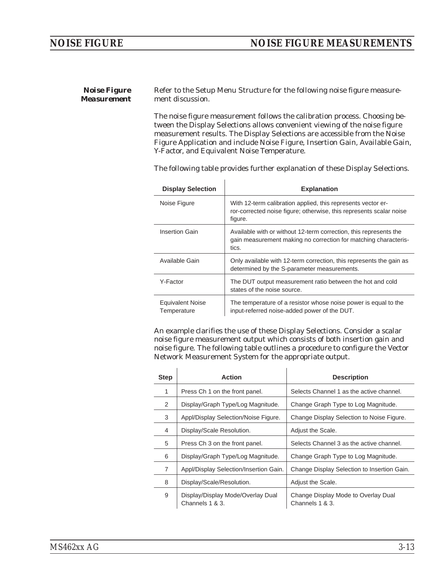*Noise Figure Measurement* Refer to the Setup Menu Structure for the following noise figure measurement discussion.

 $\overline{1}$ 

l.

The noise figure measurement follows the calibration process. Choosing between the Display Selections allows convenient viewing of the noise figure measurement results. The Display Selections are accessible from the Noise Figure Application and include Noise Figure, Insertion Gain, Available Gain, Y-Factor, and Equivalent Noise Temperature.

The following table provides further explanation of these Display Selections.

| <b>Display Selection</b>               | <b>Explanation</b>                                                                                                                             |
|----------------------------------------|------------------------------------------------------------------------------------------------------------------------------------------------|
| Noise Figure                           | With 12-term calibration applied, this represents vector er-<br>ror-corrected noise figure; otherwise, this represents scalar noise<br>figure. |
| Insertion Gain                         | Available with or without 12-term correction, this represents the<br>gain measurement making no correction for matching characteris-<br>tics.  |
| Available Gain                         | Only available with 12-term correction, this represents the gain as<br>determined by the S-parameter measurements.                             |
| Y-Factor                               | The DUT output measurement ratio between the hot and cold<br>states of the noise source.                                                       |
| <b>Equivalent Noise</b><br>Temperature | The temperature of a resistor whose noise power is equal to the<br>input-referred noise-added power of the DUT.                                |

An example clarifies the use of these Display Selections. Consider a scalar noise figure measurement output which consists of both insertion gain and noise figure. The following table outlines a procedure to configure the Vector Network Measurement System for the appropriate output.

| <b>Step</b> | <b>Action</b>                                        | <b>Description</b>                                     |  |
|-------------|------------------------------------------------------|--------------------------------------------------------|--|
| 1           | Press Ch 1 on the front panel.                       | Selects Channel 1 as the active channel.               |  |
| 2           | Display/Graph Type/Log Magnitude.                    | Change Graph Type to Log Magnitude.                    |  |
| 3           | Appl/Display Selection/Noise Figure.                 | Change Display Selection to Noise Figure.              |  |
| 4           | Display/Scale Resolution.                            | Adjust the Scale.                                      |  |
| 5           | Press Ch 3 on the front panel.                       | Selects Channel 3 as the active channel.               |  |
| 6           | Display/Graph Type/Log Magnitude.                    | Change Graph Type to Log Magnitude.                    |  |
| 7           | Appl/Display Selection/Insertion Gain.               | Change Display Selection to Insertion Gain.            |  |
| 8           | Display/Scale/Resolution.                            | Adjust the Scale.                                      |  |
| 9           | Display/Display Mode/Overlay Dual<br>Channels 1 & 3. | Change Display Mode to Overlay Dual<br>Channels 1 & 3. |  |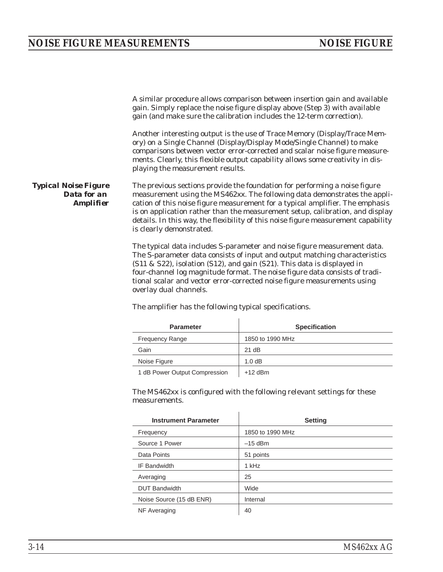A similar procedure allows comparison between insertion gain and available gain. Simply replace the noise figure display above (Step 3) with available gain (and make sure the calibration includes the 12-term correction). Another interesting output is the use of Trace Memory (Display/Trace Memory) on a Single Channel (Display/Display Mode/Single Channel) to make comparisons between vector error-corrected and scalar noise figure measurements. Clearly, this flexible output capability allows some creativity in displaying the measurement results. *Typical Noise Figure Data for an Amplifier* The previous sections provide the foundation for performing a noise figure measurement using the MS462xx. The following data demonstrates the application of this noise figure measurement for a typical amplifier. The emphasis is on application rather than the measurement setup, calibration, and display details. In this way, the flexibility of this noise figure measurement capability is clearly demonstrated. The typical data includes S-parameter and noise figure measurement data.

The S-parameter data consists of input and output matching characteristics (S11 & S22), isolation (S12), and gain (S21). This data is displayed in four-channel log magnitude format. The noise figure data consists of traditional scalar and vector error-corrected noise figure measurements using overlay dual channels.

| <b>Parameter</b>              | <b>Specification</b> |  |
|-------------------------------|----------------------|--|
| <b>Frequency Range</b>        | 1850 to 1990 MHz     |  |
| Gain                          | 21 dB                |  |
| Noise Figure                  | 1.0dB                |  |
| 1 dB Dougr Quinut Compression | $142$ dDm            |  |

The amplifier has the following typical specifications.

1 dB Power Output Compression +12 dBm

The MS462xx is configured with the following relevant settings for these measurements.

| <b>Instrument Parameter</b> | <b>Setting</b>   |  |
|-----------------------------|------------------|--|
| Frequency                   | 1850 to 1990 MHz |  |
| Source 1 Power              | $-15$ dBm        |  |
| Data Points                 | 51 points        |  |
| IF Bandwidth                | 1 kHz            |  |
| Averaging                   | 25               |  |
| <b>DUT Bandwidth</b>        | Wide             |  |
| Noise Source (15 dB ENR)    | Internal         |  |
| NF Averaging                | 40               |  |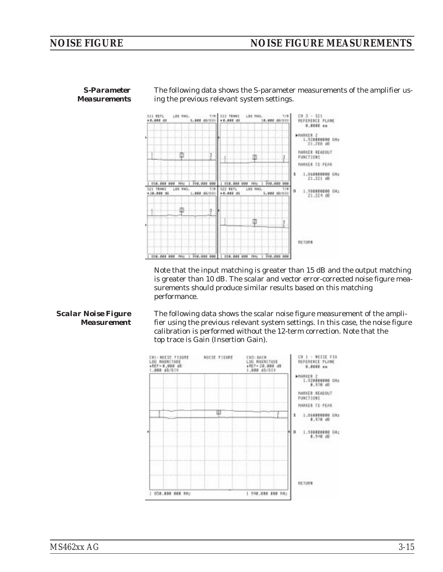

*S-Parameter Measurements* The following data shows the S-parameter measurements of the amplifier using the previous relevant system settings.

Note that the input matching is greater than 15 dB and the output matching is greater than 10 dB. The scalar and vector error-corrected noise figure measurements should produce similar results based on this matching performance.

### *Scalar Noise Figure Measurement*

The following data shows the scalar noise figure measurement of the amplifier using the previous relevant system settings. In this case, the noise figure calibration is performed without the 12-term correction. Note that the top trace is Gain (Insertion Gain).

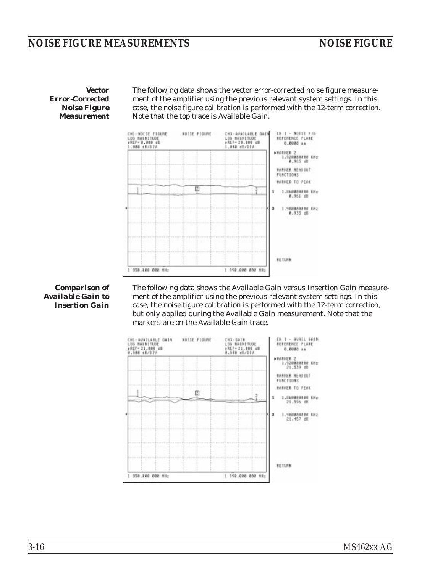*Vector Error-Corrected Noise Figure Measurement*

The following data shows the vector error-corrected noise figure measurement of the amplifier using the previous relevant system settings. In this case, the noise figure calibration is performed with the 12-term correction. Note that the top trace is Available Gain.



### *Comparison of Available Gain to Insertion Gain*

The following data shows the Available Gain versus Insertion Gain measurement of the amplifier using the previous relevant system settings. In this case, the noise figure calibration is performed with the 12-term correction, but only applied during the Available Gain measurement. Note that the markers are on the Available Gain trace.

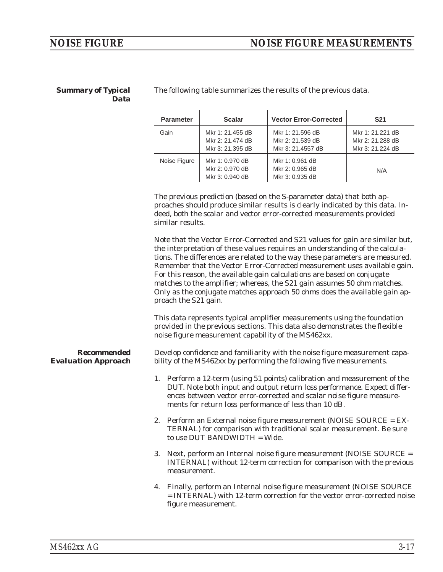### *Summary of Typical Data*

The following table summarizes the results of the previous data.

| <b>Parameter</b> | <b>Scalar</b>                                            | <b>Vector Error-Corrected</b>                             | <b>S21</b>                                               |
|------------------|----------------------------------------------------------|-----------------------------------------------------------|----------------------------------------------------------|
| Gain             | Mkr 1: 21.455 dB<br>Mkr 2: 21.474 dB<br>Mkr 3: 21.395 dB | Mkr 1: 21.596 dB<br>Mkr 2: 21.539 dB<br>Mkr 3: 21.4557 dB | Mkr 1: 21.221 dB<br>Mkr 2: 21.288 dB<br>Mkr 3: 21.224 dB |
| Noise Figure     | Mkr 1: 0.970 dB<br>Mkr 2: 0.970 dB<br>Mkr 3: 0.940 dB    | Mkr 1: 0.961 dB<br>Mkr 2: 0.965 dB<br>Mkr 3: 0.935 dB     | N/A                                                      |

The previous prediction (based on the S-parameter data) that both approaches should produce similar results is clearly indicated by this data. Indeed, both the scalar and vector error-corrected measurements provided similar results.

Note that the Vector Error-Corrected and S21 values for gain are similar but, the interpretation of these values requires an understanding of the calculations. The differences are related to the way these parameters are measured. Remember that the Vector Error-Corrected measurement uses available gain. For this reason, the available gain calculations are based on conjugate matches to the amplifier; whereas, the S21 gain assumes 50 ohm matches. Only as the conjugate matches approach 50 ohms does the available gain approach the S21 gain.

This data represents typical amplifier measurements using the foundation provided in the previous sections. This data also demonstrates the flexible noise figure measurement capability of the MS462xx.

*Recommended Evaluation Approach* Develop confidence and familiarity with the noise figure measurement capability of the MS462xx by performing the following five measurements.

- 1. Perform a 12-term (using 51 points) calibration and measurement of the DUT. Note both input and output return loss performance. Expect differences between vector error-corrected and scalar noise figure measurements for return loss performance of less than 10 dB.
- 2. Perform an External noise figure measurement (NOISE SOURCE = EX-TERNAL) for comparison with traditional scalar measurement. Be sure to use DUT BANDWIDTH = Wide.
- 3. Next, perform an Internal noise figure measurement (NOISE SOURCE = INTERNAL) without 12-term correction for comparison with the previous measurement.
- 4. Finally, perform an Internal noise figure measurement (NOISE SOURCE = INTERNAL) with 12-term correction for the vector error-corrected noise figure measurement.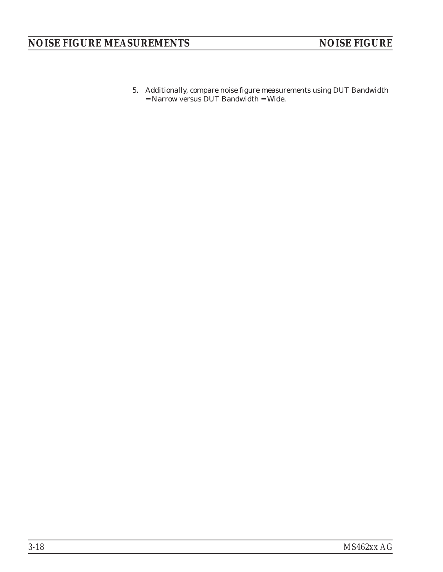5. Additionally, compare noise figure measurements using DUT Bandwidth = Narrow versus DUT Bandwidth = Wide.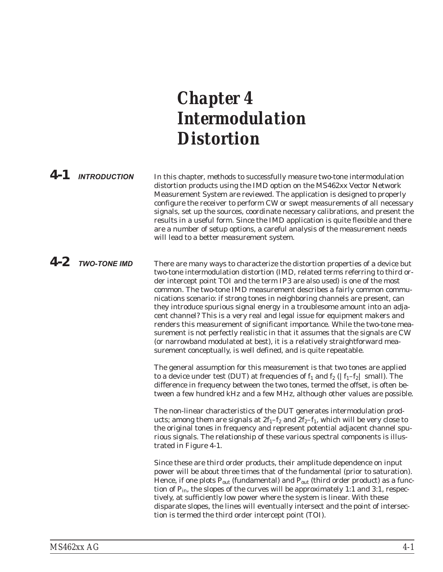# <span id="page-34-0"></span>*Chapter 4 Intermodulation Distortion*

## *4-1* **INTRODUCTION** In this chapter, methods to successfully measure two-tone intermodulation distortion products using the IMD option on the MS462xx Vector Network Measurement System are reviewed. The application is designed to properly configure the receiver to perform CW or swept measurements of all necessary signals, set up the sources, coordinate necessary calibrations, and present the results in a useful form. Since the IMD application is quite flexible and there are a number of setup options, a careful analysis of the measurement needs will lead to a better measurement system.

**4-2 TWO-TONE IMD** There are many ways to characterize the distortion properties of a device but two-tone intermodulation distortion (IMD, related terms referring to third order intercept point TOI and the term IP3 are also used) is one of the most common. The two-tone IMD measurement describes a fairly common communications scenario: if strong tones in neighboring channels are present, can they introduce spurious signal energy in a troublesome amount into an adjacent channel? This is a very real and legal issue for equipment makers and renders this measurement of significant importance. While the two-tone measurement is not perfectly realistic in that it assumes that the signals are CW (or narrowband modulated at best), it is a relatively straightforward measurement conceptually, is well defined, and is quite repeatable.

> The general assumption for this measurement is that two tones are applied to a device under test (DUT) at frequencies of  $f_1$  and  $f_2$  ( $|f_1-f_2|$  small). The difference in frequency between the two tones, termed the offset, is often between a few hundred kHz and a few MHz, although other values are possible.

> The non-linear characteristics of the DUT generates intermodulation products; among them are signals at  $2f_1-f_2$  and  $2f_2-f_1$ , which will be very close to the original tones in frequency and represent potential adjacent channel spurious signals. The relationship of these various spectral components is illustrated in Figure [4](#page-35-0)-[1](#page-35-0).

> Since these are third order products, their amplitude dependence on input power will be about three times that of the fundamental (prior to saturation). Hence, if one plots  $P_{out}$  (fundamental) and  $P_{out}$  (third order product) as a function of  $P_{in}$ , the slopes of the curves will be approximately 1:1 and 3:1, respectively, at sufficiently low power where the system is linear. With these disparate slopes, the lines will eventually intersect and the point of intersection is termed the third order intercept point (TOI).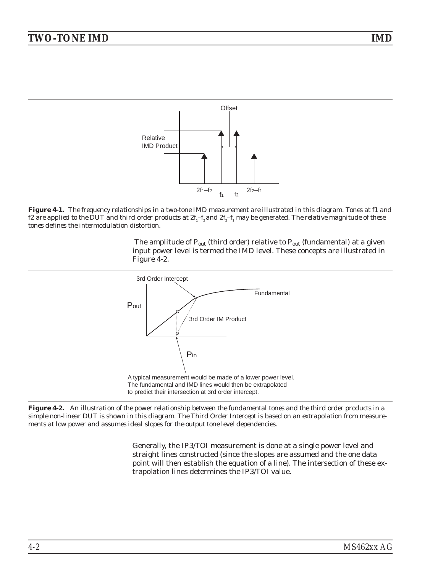<span id="page-35-0"></span>

*Figure 4-1. The frequency relationships in a two-tone IMD measurement are illustrated in this diagram. Tones at f1 and f2* are applied to the DUT and third order products at  $2f_1-f_2$  and  $2f_2-f_1$  may be generated. The relative magnitude of these *tones defines the intermodulation distortion.*

The amplitude of  $P_{out}$  (third order) relative to  $P_{out}$  (fundamental) at a given input power level is termed the IMD level. These concepts are illustrated in Figure [4-2.](#page-35-0)



*Figure 4-2. An illustration of the power relationship between the fundamental tones and the third order products in a simple non-linear DUT is shown in this diagram. The Third Order Intercept is based on an extrapolation from measurements at low power and assumes ideal slopes for the output tone level dependencies.*

Generally, the IP3/TOI measurement is done at a single power level and straight lines constructed (since the slopes are assumed and the one data point will then establish the equation of a line). The intersection of these extrapolation lines determines the IP3/TOI value.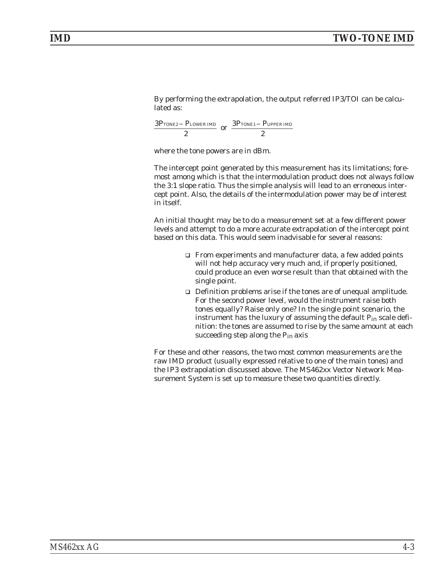By performing the extrapolation, the output referred IP3/TOI can be calculated as:

 $3P$  TONE2 –  $P$ 2 TONE2 – PLOWER IMD or  $\frac{3P_{\text{TONE1}}-P}{2}$ 2  $_{\rm TONE1}$  –  $_{\rm PUPPER~IMD}$ 

where the tone powers are in dBm.

The intercept point generated by this measurement has its limitations; foremost among which is that the intermodulation product does not always follow the 3:1 slope ratio. Thus the simple analysis will lead to an erroneous intercept point. Also, the details of the intermodulation power may be of interest in itself.

An initial thought may be to do a measurement set at a few different power levels and attempt to do a more accurate extrapolation of the intercept point based on this data. This would seem inadvisable for several reasons:

- $\Box$  From experiments and manufacturer data, a few added points will not help accuracy very much and, if properly positioned, could produce an even worse result than that obtained with the single point.
- $\Box$  Definition problems arise if the tones are of unequal amplitude. For the second power level, would the instrument raise both tones equally? Raise only one? In the single point scenario, the instrument has the luxury of assuming the default P<sub>in</sub> scale definition: the tones are assumed to rise by the same amount at each succeeding step along the Pin axis

For these and other reasons, the two most common measurements are the raw IMD product (usually expressed relative to one of the main tones) and the IP3 extrapolation discussed above. The MS462xx Vector Network Measurement System is set up to measure these two quantities directly.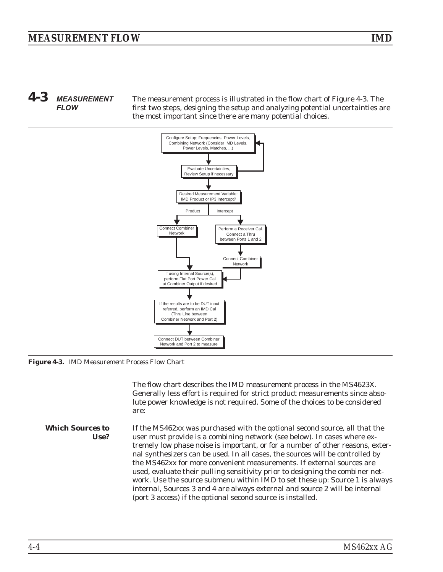# <span id="page-37-0"></span>*4-3* **MEASUREMENT FLOW**

The measurement process is illustrated in the flow chart of Figure [4-3.](#page-37-0) The first two steps, designing the setup and analyzing potential uncertainties are the most important since there are many potential choices.



*Figure 4-3. IMD Measurement Process Flow Chart*

The flow chart describes the IMD measurement process in the MS4623X. Generally less effort is required for strict product measurements since absolute power knowledge is not required. Some of the choices to be considered are:

*Which Sources to Use?* If the MS462xx was purchased with the optional second source, all that the user must provide is a combining network (see below). In cases where extremely low phase noise is important, or for a number of other reasons, external synthesizers can be used. In all cases, the sources will be controlled by the MS462xx for more convenient measurements. If external sources are used, evaluate their pulling sensitivity prior to designing the combiner network. Use the source submenu within IMD to set these up: Source 1 is always internal, Sources 3 and 4 are always external and source 2 will be internal (port 3 access) if the optional second source is installed.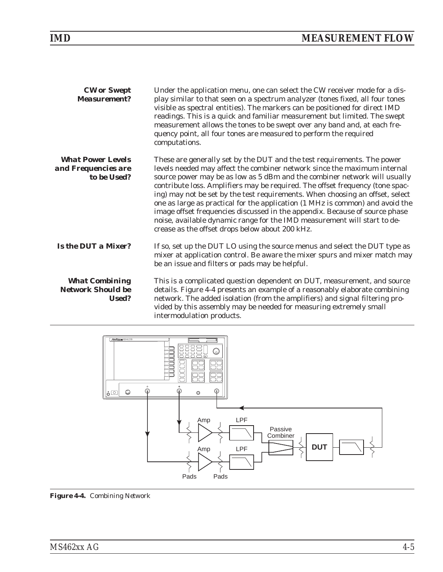<span id="page-38-0"></span>

| <b>CW</b> or Swept<br><b>Measurement?</b>                      | Under the application menu, one can select the CW receiver mode for a dis-<br>play similar to that seen on a spectrum analyzer (tones fixed, all four tones<br>visible as spectral entities). The markers can be positioned for direct IMD<br>readings. This is a quick and familiar measurement but limited. The swept<br>measurement allows the tones to be swept over any band and, at each fre-<br>quency point, all four tones are measured to perform the required<br>computations.                                                                                                                                                                                                         |
|----------------------------------------------------------------|---------------------------------------------------------------------------------------------------------------------------------------------------------------------------------------------------------------------------------------------------------------------------------------------------------------------------------------------------------------------------------------------------------------------------------------------------------------------------------------------------------------------------------------------------------------------------------------------------------------------------------------------------------------------------------------------------|
| <b>What Power Levels</b><br>and Frequencies are<br>to be Used? | These are generally set by the DUT and the test requirements. The power<br>levels needed may affect the combiner network since the maximum internal<br>source power may be as low as 5 dBm and the combiner network will usually<br>contribute loss. Amplifiers may be required. The offset frequency (tone spac-<br>ing) may not be set by the test requirements. When choosing an offset, select<br>one as large as practical for the application (1 MHz is common) and avoid the<br>image offset frequencies discussed in the appendix. Because of source phase<br>noise, available dynamic range for the IMD measurement will start to de-<br>crease as the offset drops below about 200 kHz. |
| <b>Is the DUT a Mixer?</b>                                     | If so, set up the DUT LO using the source menus and select the DUT type as<br>mixer at application control. Be aware the mixer spurs and mixer match may<br>be an issue and filters or pads may be helpful.                                                                                                                                                                                                                                                                                                                                                                                                                                                                                       |
| <b>What Combining</b><br><b>Network Should be</b><br>Used?     | This is a complicated question dependent on DUT, measurement, and source<br>details. Figure 4-4 presents an example of a reasonably elaborate combining<br>network. The added isolation (from the amplifiers) and signal filtering pro-<br>vided by this assembly may be needed for measuring extremely small<br>intermodulation products.                                                                                                                                                                                                                                                                                                                                                        |



*Figure 4-4. Combining Network*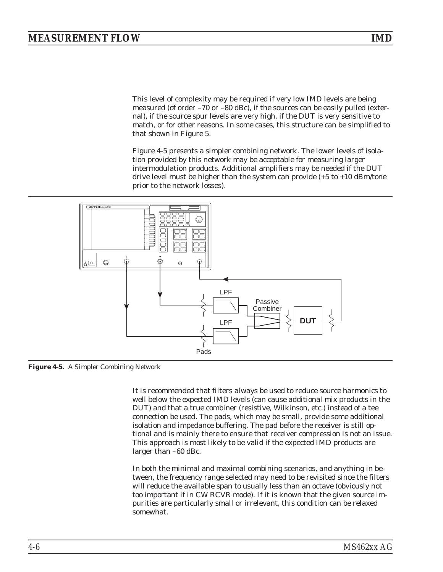<span id="page-39-0"></span>This level of complexity may be required if very low IMD levels are being measured (of order –70 or –80 dBc), if the sources can be easily pulled (external), if the source spur levels are very high, if the DUT is very sensitive to match, or for other reasons. In some cases, this structure can be simplified to that shown in Figure 5.

Figure [4-5](#page-39-0) presents a simpler combining network. The lower levels of isolation provided by this network may be acceptable for measuring larger intermodulation products. Additional amplifiers may be needed if the DUT drive level must be higher than the system can provide (+5 to +10 dBm/tone prior to the network losses).



*Figure 4-5. A Simpler Combining Network*

It is recommended that filters always be used to reduce source harmonics to well below the expected IMD levels (can cause additional mix products in the DUT) and that a true combiner (resistive, Wilkinson, etc.) instead of a tee connection be used. The pads, which may be small, provide some additional isolation and impedance buffering. The pad before the receiver is still optional and is mainly there to ensure that receiver compression is not an issue. This approach is most likely to be valid if the expected IMD products are larger than –60 dBc.

In both the minimal and maximal combining scenarios, and anything in between, the frequency range selected may need to be revisited since the filters will reduce the available span to usually less than an octave (obviously not too important if in CW RCVR mode). If it is known that the given source impurities are particularly small or irrelevant, this condition can be relaxed somewhat.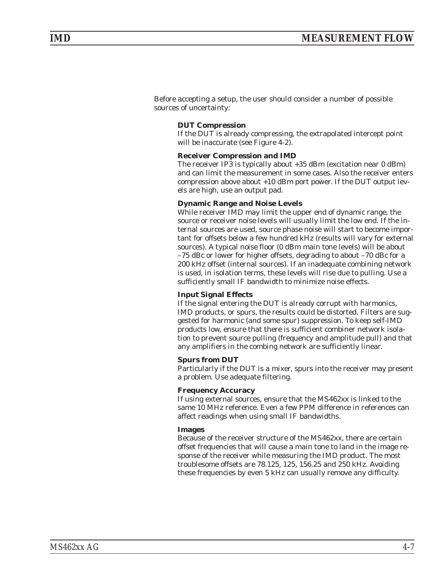Before accepting a setup, the user should consider a number of possible sources of uncertainty:

# **DUT Compression**

If the DUT is already compressing, the extrapolated intercept point will be inaccurate (see Figure 4-2).

# **Receiver Compression and IMD**

The receiver IP3 is typically about +35 dBm (excitation near 0 dBm) and can limit the measurement in some cases. Also the receiver enters compression above about +10 dBm port power. If the DUT output levels are high, use an output pad.

# **Dynamic Range and Noise Levels**

While receiver IMD may limit the upper end of dynamic range, the source or receiver noise levels will usually limit the low end. If the internal sources are used, source phase noise will start to become important for offsets below a few hundred kHz (results will vary for external sources). A typical noise floor (0 dBm main tone levels) will be about –75 dBc or lower for higher offsets, degrading to about –70 dBc for a 200 kHz offset (internal sources). If an inadequate combining network is used, in isolation terms, these levels will rise due to pulling. Use a sufficiently small IF bandwidth to minimize noise effects.

### **Input Signal Effects**

If the signal entering the DUT is already corrupt with harmonics, IMD products, or spurs, the results could be distorted. Filters are suggested for harmonic (and some spur) suppression. To keep self-IMD products low, ensure that there is sufficient combiner network isolation to prevent source pulling (frequency and amplitude pull) and that any amplifiers in the combing network are sufficiently linear.

### **Spurs from DUT**

Particularly if the DUT is a mixer, spurs into the receiver may present a problem. Use adequate filtering.

### **Frequency Accuracy**

If using external sources, ensure that the MS462xx is linked to the same 10 MHz reference. Even a few PPM difference in references can affect readings when using small IF bandwidths.

# **Images**

Because of the receiver structure of the MS462xx, there are certain offset frequencies that will cause a main tone to land in the image response of the receiver while measuring the IMD product. The most troublesome offsets are 78.125, 125, 156.25 and 250 kHz. Avoiding these frequencies by even 5 kHz can usually remove any difficulty.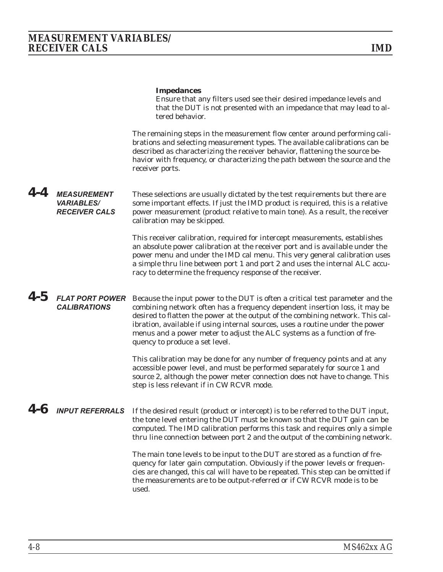### **Impedances**

Ensure that any filters used see their desired impedance levels and that the DUT is not presented with an impedance that may lead to altered behavior.

The remaining steps in the measurement flow center around performing calibrations and selecting measurement types. The available calibrations can be described as characterizing the receiver behavior, flattening the source behavior with frequency, or characterizing the path between the source and the receiver ports.

### *4-4* **MEASUREMENT VARIABLES/ RECEIVER CALS** These selections are usually dictated by the test requirements but there are some important effects. If just the IMD product is required, this is a relative power measurement (product relative to main tone). As a result, the receiver calibration may be skipped.

This receiver calibration, required for intercept measurements, establishes an absolute power calibration at the receiver port and is available under the power menu and under the IMD cal menu. This very general calibration uses a simple thru line between port 1 and port 2 and uses the internal ALC accuracy to determine the frequency response of the receiver.

# *4-5* **FLAT PORT POWER CALIBRATIONS**

Because the input power to the DUT is often a critical test parameter and the combining network often has a frequency dependent insertion loss, it may be desired to flatten the power at the output of the combining network. This calibration, available if using internal sources, uses a routine under the power menus and a power meter to adjust the ALC systems as a function of frequency to produce a set level.

This calibration may be done for any number of frequency points and at any accessible power level, and must be performed separately for source 1 and source 2, although the power meter connection does not have to change. This step is less relevant if in CW RCVR mode.

*4-6* **INPUT REFERRALS** If the desired result (product or intercept) is to be referred to the DUT input, the tone level entering the DUT must be known so that the DUT gain can be computed. The IMD calibration performs this task and requires only a simple thru line connection between port 2 and the output of the combining network.

> The main tone levels to be input to the DUT are stored as a function of frequency for later gain computation. Obviously if the power levels or frequencies are changed, this cal will have to be repeated. This step can be omitted if the measurements are to be output-referred or if CW RCVR mode is to be used.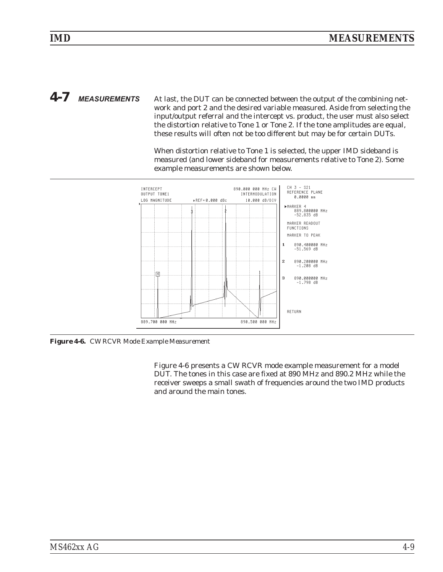<span id="page-42-0"></span>*4-7* **MEASUREMENTS** At last, the DUT can be connected between the output of the combining network and port 2 and the desired variable measured. Aside from selecting the input/output referral and the intercept vs. product, the user must also select the distortion relative to Tone 1 or Tone 2. If the tone amplitudes are equal, these results will often not be too different but may be for certain DUTs.

> When distortion relative to Tone 1 is selected, the upper IMD sideband is measured (and lower sideband for measurements relative to Tone 2). Some example measurements are shown below.



*Figure 4-6. CW RCVR Mode Example Measurement*

Figure [4-6](#page-42-0) presents a CW RCVR mode example measurement for a model DUT. The tones in this case are fixed at 890 MHz and 890.2 MHz while the receiver sweeps a small swath of frequencies around the two IMD products and around the main tones.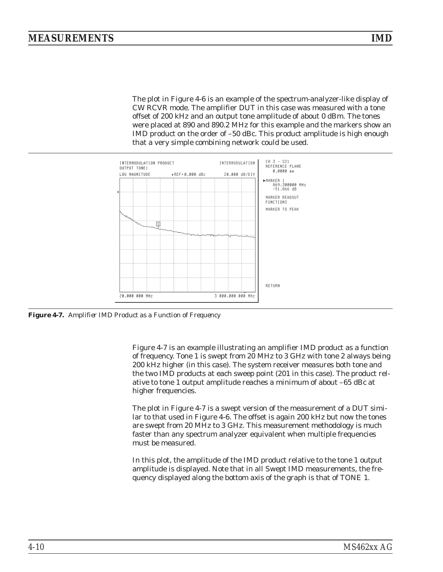<span id="page-43-0"></span>The plot in Figure [4](#page-42-0)-[6](#page-42-0) is an example of the spectrum-analyzer-like display of CW RCVR mode. The amplifier DUT in this case was measured with a tone offset of 200 kHz and an output tone amplitude of about 0 dBm. The tones were placed at 890 and 890.2 MHz for this example and the markers show an IMD product on the order of –50 dBc. This product amplitude is high enough that a very simple combining network could be used.



*Figure 4-7. Amplifier IMD Product as a Function of Frequency*

Figure [4-7](#page-43-0) is an example illustrating an amplifier IMD product as a function of frequency. Tone 1 is swept from 20 MHz to 3 GHz with tone 2 always being 200 kHz higher (in this case). The system receiver measures both tone and the two IMD products at each sweep point (201 in this case). The product relative to tone 1 output amplitude reaches a minimum of about –65 dBc at higher frequencies.

The plot in Figure [4](#page-43-0)-[7](#page-43-0) is a swept version of the measurement of a DUT similar to that used in Figure [4](#page-42-0)-[6](#page-42-0). The offset is again 200 kHz but now the tones are swept from 20 MHz to 3 GHz. This measurement methodology is much faster than any spectrum analyzer equivalent when multiple frequencies must be measured.

In this plot, the amplitude of the IMD product relative to the tone 1 output amplitude is displayed. Note that in all Swept IMD measurements, the frequency displayed along the bottom axis of the graph is that of TONE 1.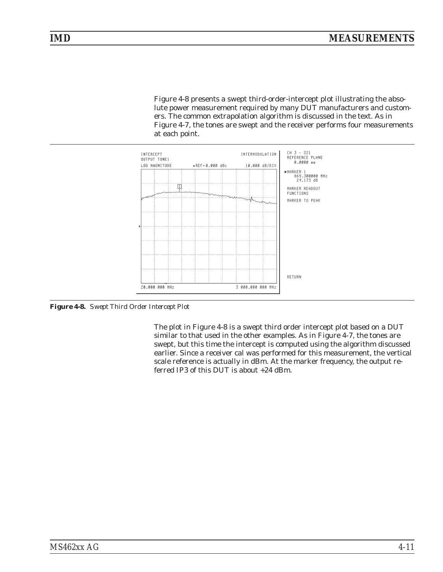<span id="page-44-0"></span>Figure [4-8](#page-44-0) presents a swept third-order-intercept plot illustrating the absolute power measurement required by many DUT manufacturers and customers. The common extrapolation algorithm is discussed in the text. As in Figure [4-7,](#page-43-0) the tones are swept and the receiver performs four measurements at each point.



*Figure 4-8. Swept Third Order Intercept Plot*

The plot in Figure [4](#page-44-0)-[8](#page-44-0) is a swept third order intercept plot based on a DUT similar to that used in the other examples. As in Figure [4-7](#page-43-0), the tones are swept, but this time the intercept is computed using the algorithm discussed earlier. Since a receiver cal was performed for this measurement, the vertical scale reference is actually in dBm. At the marker frequency, the output referred IP3 of this DUT is about +24 dBm.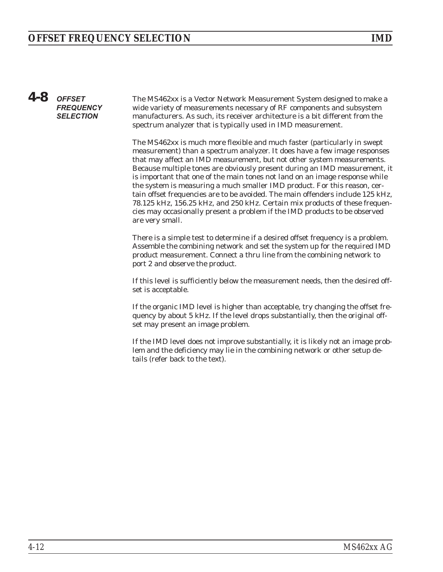# *4-8* **OFFSET FREQUENCY SELECTION**

The MS462xx is a Vector Network Measurement System designed to make a wide variety of measurements necessary of RF components and subsystem manufacturers. As such, its receiver architecture is a bit different from the spectrum analyzer that is typically used in IMD measurement.

The MS462xx is much more flexible and much faster (particularly in swept measurement) than a spectrum analyzer. It does have a few image responses that may affect an IMD measurement, but not other system measurements. Because multiple tones are obviously present during an IMD measurement, it is important that one of the main tones not land on an image response while the system is measuring a much smaller IMD product. For this reason, certain offset frequencies are to be avoided. The main offenders include 125 kHz, 78.125 kHz, 156.25 kHz, and 250 kHz. Certain mix products of these frequencies may occasionally present a problem if the IMD products to be observed are very small.

There is a simple test to determine if a desired offset frequency is a problem. Assemble the combining network and set the system up for the required IMD product measurement. Connect a thru line from the combining network to port 2 and observe the product.

If this level is sufficiently below the measurement needs, then the desired offset is acceptable.

If the organic IMD level is higher than acceptable, try changing the offset frequency by about 5 kHz. If the level drops substantially, then the original offset may present an image problem.

If the IMD level does not improve substantially, it is likely not an image problem and the deficiency may lie in the combining network or other setup details (refer back to the text).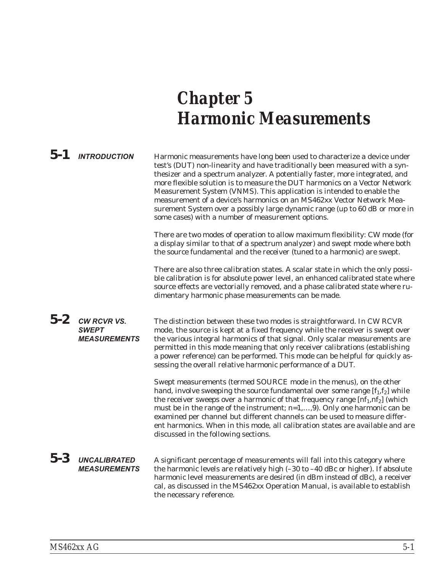# *Chapter 5 Harmonic Measurements*

|         | $5-1$ INTRODUCTION                                        | Harmonic measurements have long been used to characterize a device under<br>test's (DUT) non-linearity and have traditionally been measured with a syn-<br>thesizer and a spectrum analyzer. A potentially faster, more integrated, and<br>more flexible solution is to measure the DUT harmonics on a Vector Network<br>Measurement System (VNMS). This application is intended to enable the<br>measurement of a device's harmonics on an MS462xx Vector Network Mea-<br>surement System over a possibly large dynamic range (up to 60 dB or more in<br>some cases) with a number of measurement options. |
|---------|-----------------------------------------------------------|-------------------------------------------------------------------------------------------------------------------------------------------------------------------------------------------------------------------------------------------------------------------------------------------------------------------------------------------------------------------------------------------------------------------------------------------------------------------------------------------------------------------------------------------------------------------------------------------------------------|
|         |                                                           | There are two modes of operation to allow maximum flexibility: CW mode (for<br>a display similar to that of a spectrum analyzer) and swept mode where both<br>the source fundamental and the receiver (tuned to a harmonic) are swept.                                                                                                                                                                                                                                                                                                                                                                      |
|         |                                                           | There are also three calibration states. A scalar state in which the only possi-<br>ble calibration is for absolute power level, an enhanced calibrated state where<br>source effects are vectorially removed, and a phase calibrated state where ru-<br>dimentary harmonic phase measurements can be made.                                                                                                                                                                                                                                                                                                 |
| $5 - 2$ | <b>CW RCVR VS.</b><br><b>SWEPT</b><br><b>MEASUREMENTS</b> | The distinction between these two modes is straightforward. In CW RCVR<br>mode, the source is kept at a fixed frequency while the receiver is swept over<br>the various integral harmonics of that signal. Only scalar measurements are<br>permitted in this mode meaning that only receiver calibrations (establishing<br>a power reference) can be performed. This mode can be helpful for quickly as-<br>sessing the overall relative harmonic performance of a DUT.                                                                                                                                     |
|         |                                                           | Swept measurements (termed SOURCE mode in the menus), on the other<br>hand, involve sweeping the source fundamental over some range $[f_1, f_2]$ while<br>the receiver sweeps over a harmonic of that frequency range [nf <sub>1</sub> , nf <sub>2</sub> ] (which<br>must be in the range of the instrument; n=1,,9). Only one harmonic can be<br>examined per channel but different channels can be used to measure differ-<br>ent harmonics. When in this mode, all calibration states are available and are<br>discussed in the following sections.                                                      |
| $5 - 3$ | <b>UNCALIBRATED</b><br><b>MEASUREMENTS</b>                | A significant percentage of measurements will fall into this category where<br>the harmonic levels are relatively high (-30 to -40 dBc or higher). If absolute<br>harmonic level measurements are desired (in dBm instead of dBc), a receiver<br>cal, as discussed in the MS462xx Operation Manual, is available to establish<br>the necessary reference.                                                                                                                                                                                                                                                   |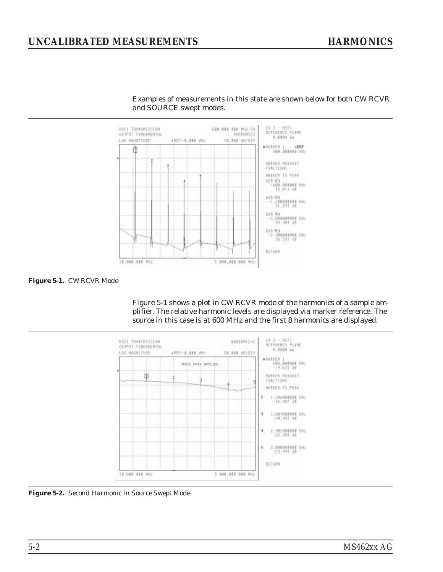# <span id="page-47-0"></span>*UNCALIBRATED MEASUREMENTS HARMONICS*



Examples of measurements in this state are shown below for both CW RCVR and SOURCE swept modes.

*Figure 5-1. CW RCVR Mode*

Figure [5-1](#page-47-0) shows a plot in CW RCVR mode of the harmonics of a sample amplifier. The relative harmonic levels are displayed via marker reference. The source in this case is at 600 MHz and the first 8 harmonics are displayed.



*Figure 5-2. Second Harmonic in Source Swept Mode*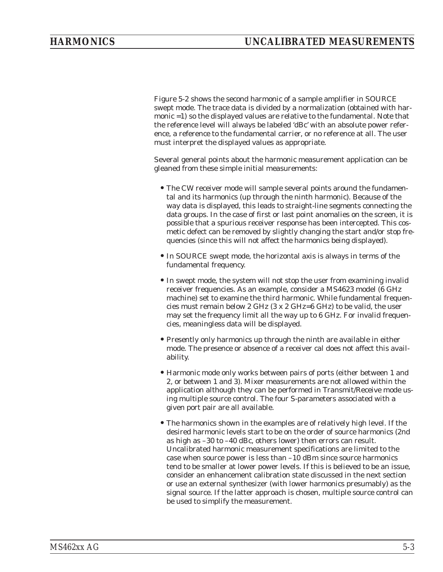Figure [5-2](#page-47-0) shows the second harmonic of a sample amplifier in SOURCE swept mode. The trace data is divided by a normalization (obtained with harmonic =1) so the displayed values are relative to the fundamental. Note that the reference level will always be labeled 'dBc' with an absolute power reference, a reference to the fundamental carrier, or no reference at all. The user must interpret the displayed values as appropriate.

Several general points about the harmonic measurement application can be gleaned from these simple initial measurements:

- The CW receiver mode will sample several points around the fundamental and its harmonics (up through the ninth harmonic). Because of the way data is displayed, this leads to straight-line segments connecting the data groups. In the case of first or last point anomalies on the screen, it is possible that a spurious receiver response has been intercepted. This cosmetic defect can be removed by slightly changing the start and/or stop frequencies (since this will not affect the harmonics being displayed).
- •In SOURCE swept mode, the horizontal axis is always in terms of the fundamental frequency.
- •In swept mode, the system will not stop the user from examining invalid receiver frequencies. As an example, consider a MS4623 model (6 GHz machine) set to examine the third harmonic. While fundamental frequencies must remain below 2 GHz (3 x 2 GHz=6 GHz) to be valid, the user may set the frequency limit all the way up to 6 GHz. For invalid frequencies, meaningless data will be displayed.
- •Presently only harmonics up through the ninth are available in either mode. The presence or absence of a receiver cal does not affect this availability.
- Harmonic mode only works between pairs of ports (either between 1 and 2, or between 1 and 3). Mixer measurements are not allowed within the application although they can be performed in Transmit/Receive mode using multiple source control. The four S-parameters associated with a given port pair are all available.
- •The harmonics shown in the examples are of relatively high level. If the desired harmonic levels start to be on the order of source harmonics (2nd as high as –30 to –40 dBc, others lower) then errors can result. Uncalibrated harmonic measurement specifications are limited to the case when source power is less than –10 dBm since source harmonics tend to be smaller at lower power levels. If this is believed to be an issue, consider an enhancement calibration state discussed in the next section or use an external synthesizer (with lower harmonics presumably) as the signal source. If the latter approach is chosen, multiple source control can be used to simplify the measurement.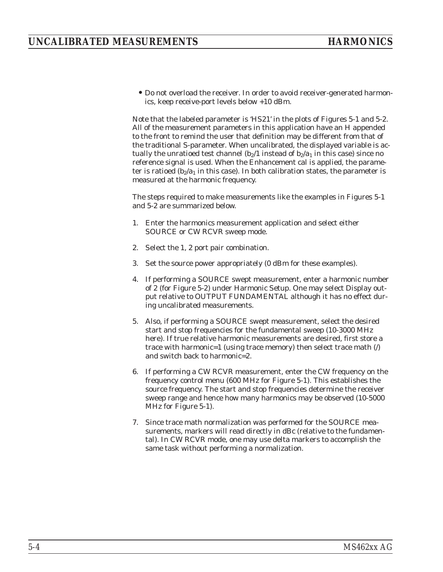•Do not overload the receiver. In order to avoid receiver-generated harmonics, keep receive-port levels below +10 dBm.

Note that the labeled parameter is 'HS21' in the plots of Figures [5-1](#page-47-0) and [5-2.](#page-47-0) All of the measurement parameters in this application have an H appended to the front to remind the user that definition may be different from that of the traditional S-parameter. When uncalibrated, the displayed variable is actually the unratioed test channel  $(b_2/1$  instead of  $b_2/a_1$  in this case) since no reference signal is used. When the Enhancement cal is applied, the parameter is ratioed  $(b_2/a_1)$  in this case). In both calibration states, the parameter is measured at the harmonic frequency.

The steps required to make measurements like the examples in Figures [5-1](#page-47-0) and [5-2](#page-47-0) are summarized below.

- 1. Enter the harmonics measurement application and select either SOURCE or CW RCVR sweep mode.
- 2. Select the 1, 2 port pair combination.
- 3. Set the source power appropriately (0 dBm for these examples).
- 4. If performing a SOURCE swept measurement, enter a harmonic number of 2 (for Figure [5](#page-47-0)-[2](#page-47-0)) under Harmonic Setup. One may select Display output relative to OUTPUT FUNDAMENTAL although it has no effect during uncalibrated measurements.
- 5. Also, if performing a SOURCE swept measurement, select the desired start and stop frequencies for the fundamental sweep (10-3000 MHz here). If true relative harmonic measurements are desired, first store a trace with harmonic=1 (using trace memory) then select trace math  $($ ) and switch back to harmonic=2.
- 6. If performing a CW RCVR measurement, enter the CW frequency on the frequency control menu (600 MHz for Figure 5-1). This establishes the source frequency. The start and stop frequencies determine the receiver sweep range and hence how many harmonics may be observed (10-5000 MHz for Figure 5-1).
- 7. Since trace math normalization was performed for the SOURCE measurements, markers will read directly in dBc (relative to the fundamental). In CW RCVR mode, one may use delta markers to accomplish the same task without performing a normalization.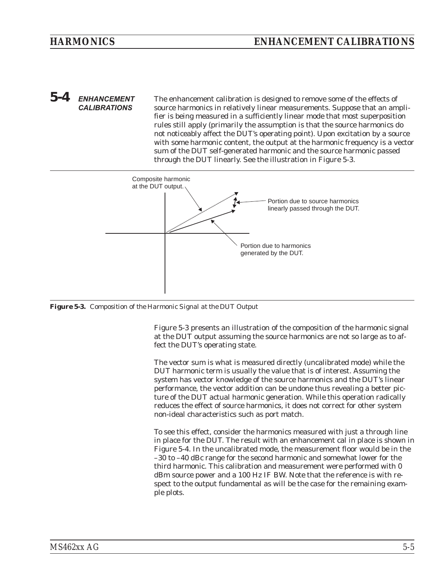### <span id="page-50-0"></span>*5-4* **ENHANCEMENT CALIBRATIONS** The enhancement calibration is designed to remove some of the effects of source harmonics in relatively linear measurements. Suppose that an amplifier is being measured in a sufficiently linear mode that most superposition rules still apply (primarily the assumption is that the source harmonics do not noticeably affect the DUT's operating point). Upon excitation by a source with some harmonic content, the output at the harmonic frequency is a vector sum of the DUT self-generated harmonic and the source harmonic passed through the DUT linearly. See the illustration in Figure [5](#page-50-0)-[3](#page-50-0).



*Figure 5-3. Composition of the Harmonic Signal at the DUT Output*

Figure [5-3](#page-50-0) presents an illustration of the composition of the harmonic signal at the DUT output assuming the source harmonics are not so large as to affect the DUT's operating state.

The vector sum is what is measured directly (uncalibrated mode) while the DUT harmonic term is usually the value that is of interest. Assuming the system has vector knowledge of the source harmonics and the DUT's linear performance, the vector addition can be undone thus revealing a better picture of the DUT actual harmonic generation. While this operation radically reduces the effect of source harmonics, it does not correct for other system non-ideal characteristics such as port match.

To see this effect, consider the harmonics measured with just a through line in place for the DUT. The result with an enhancement cal in place is shown in Figure 5-4. In the uncalibrated mode, the measurement floor would be in the –30 to –40 dBc range for the second harmonic and somewhat lower for the third harmonic. This calibration and measurement were performed with 0 dBm source power and a 100 Hz IF BW. Note that the reference is with respect to the output fundamental as will be the case for the remaining example plots.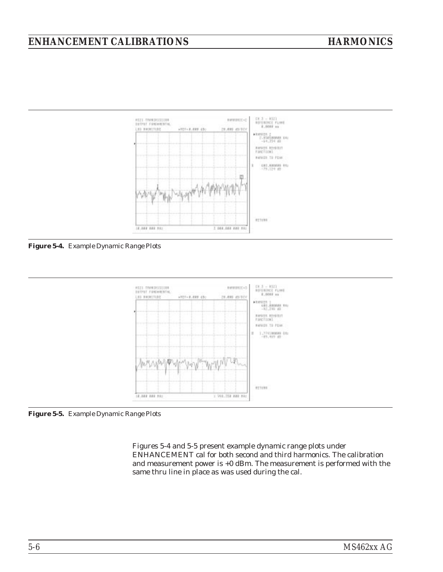# *ENHANCEMENT CALIBRATIONS HARMONICS*



*Figure 5-4. Example Dynamic Range Plots*



*Figure 5-5. Example Dynamic Range Plots*

Figures 5-4 and 5-5 present example dynamic range plots under ENHANCEMENT cal for both second and third harmonics. The calibration and measurement power is +0 dBm. The measurement is performed with the same thru line in place as was used during the cal.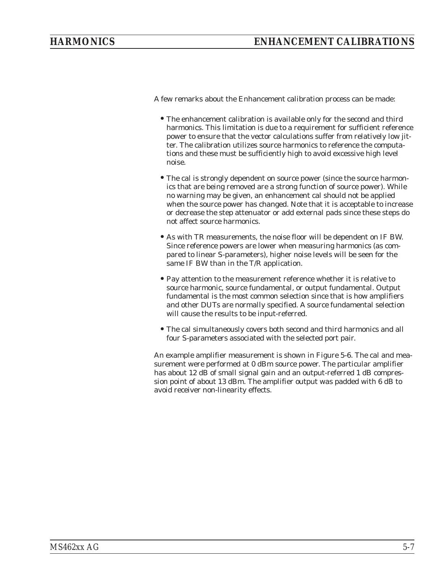A few remarks about the Enhancement calibration process can be made:

- •The enhancement calibration is available only for the second and third harmonics. This limitation is due to a requirement for sufficient reference power to ensure that the vector calculations suffer from relatively low jitter. The calibration utilizes source harmonics to reference the computations and these must be sufficiently high to avoid excessive high level noise.
- The cal is strongly dependent on source power (since the source harmonics that are being removed are a strong function of source power). While no warning may be given, an enhancement cal should not be applied when the source power has changed. Note that it is acceptable to increase or decrease the step attenuator or add external pads since these steps do not affect source harmonics.
- As with TR measurements, the noise floor will be dependent on IF BW. Since reference powers are lower when measuring harmonics (as compared to linear S-parameters), higher noise levels will be seen for the same IF BW than in the T/R application.
- •Pay attention to the measurement reference whether it is relative to source harmonic, source fundamental, or output fundamental. Output fundamental is the most common selection since that is how amplifiers and other DUTs are normally specified. A source fundamental selection will cause the results to be input-referred.
- •The cal simultaneously covers both second and third harmonics and all four S-parameters associated with the selected port pair.

An example amplifier measurement is shown in Figure 5-6. The cal and measurement were performed at 0 dBm source power. The particular amplifier has about 12 dB of small signal gain and an output-referred 1 dB compression point of about 13 dBm. The amplifier output was padded with 6 dB to avoid receiver non-linearity effects.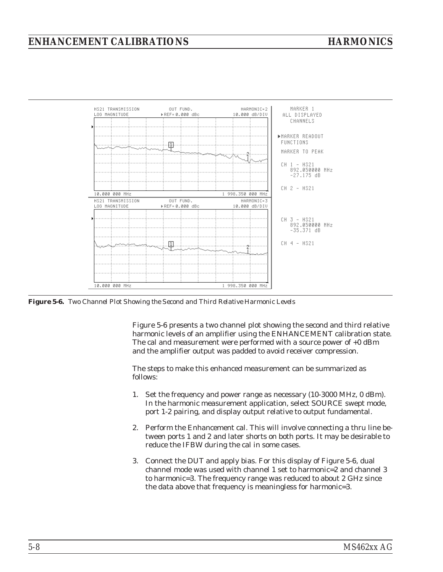<span id="page-53-0"></span>

*Figure 5-6. Two Channel Plot Showing the Second and Third Relative Harmonic Levels*

Figure [5-6](#page-53-0) presents a two channel plot showing the second and third relative harmonic levels of an amplifier using the ENHANCEMENT calibration state. The cal and measurement were performed with a source power of +0 dBm and the amplifier output was padded to avoid receiver compression.

The steps to make this enhanced measurement can be summarized as follows:

- 1. Set the frequency and power range as necessary (10-3000 MHz, 0 dBm). In the harmonic measurement application, select SOURCE swept mode, port 1-2 pairing, and display output relative to output fundamental.
- 2. Perform the Enhancement cal. This will involve connecting a thru line between ports 1 and 2 and later shorts on both ports. It may be desirable to reduce the IFBW during the cal in some cases.
- 3. Connect the DUT and apply bias. For this display of Figure 5-6, dual channel mode was used with channel 1 set to harmonic=2 and channel 3 to harmonic=3. The frequency range was reduced to about 2 GHz since the data above that frequency is meaningless for harmonic=3.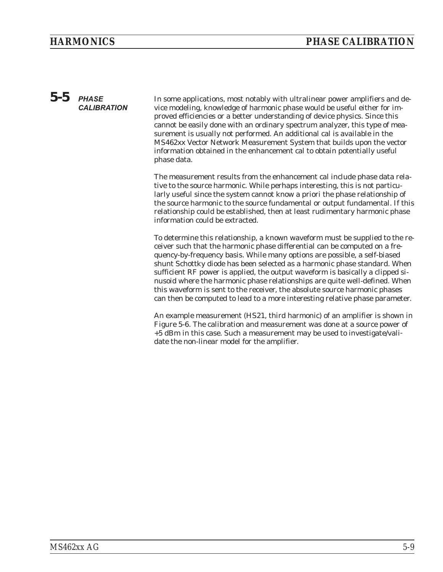# *5-5* **PHASE CALIBRATION**

In some applications, most notably with ultralinear power amplifiers and device modeling, knowledge of harmonic phase would be useful either for improved efficiencies or a better understanding of device physics. Since this cannot be easily done with an ordinary spectrum analyzer, this type of measurement is usually not performed. An additional cal is available in the MS462xx Vector Network Measurement System that builds upon the vector information obtained in the enhancement cal to obtain potentially useful phase data.

The measurement results from the enhancement cal include phase data relative to the source harmonic. While perhaps interesting, this is not particularly useful since the system cannot know a priori the phase relationship of the source harmonic to the source fundamental or output fundamental. If this relationship could be established, then at least rudimentary harmonic phase information could be extracted.

To determine this relationship, a known waveform must be supplied to the receiver such that the harmonic phase differential can be computed on a frequency-by-frequency basis. While many options are possible, a self-biased shunt Schottky diode has been selected as a harmonic phase standard. When sufficient RF power is applied, the output waveform is basically a clipped sinusoid where the harmonic phase relationships are quite well-defined. When this waveform is sent to the receiver, the absolute source harmonic phases can then be computed to lead to a more interesting relative phase parameter.

An example measurement (HS21, third harmonic) of an amplifier is shown in Figure 5-6. The calibration and measurement was done at a source power of +5 dBm in this case. Such a measurement may be used to investigate/validate the non-linear model for the amplifier.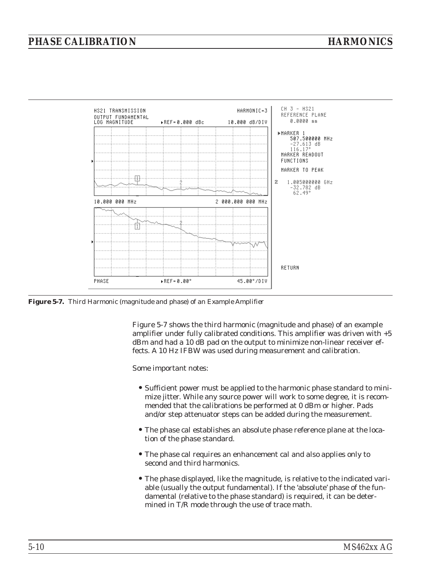<span id="page-55-0"></span>

*Figure 5-7. Third Harmonic (magnitude and phase) of an Example Amplifier*

Figure [5-7](#page-55-0) shows the third harmonic (magnitude and phase) of an example amplifier under fully calibrated conditions. This amplifier was driven with +5 dBm and had a 10 dB pad on the output to minimize non-linear receiver effects. A 10 Hz IFBW was used during measurement and calibration.

Some important notes:

- •Sufficient power must be applied to the harmonic phase standard to minimize jitter. While any source power will work to some degree, it is recommended that the calibrations be performed at 0 dBm or higher. Pads and/or step attenuator steps can be added during the measurement.
- •The phase cal establishes an absolute phase reference plane at the location of the phase standard.
- •The phase cal requires an enhancement cal and also applies only to second and third harmonics.
- •The phase displayed, like the magnitude, is relative to the indicated variable (usually the output fundamental). If the 'absolute' phase of the fundamental (relative to the phase standard) is required, it can be determined in T/R mode through the use of trace math.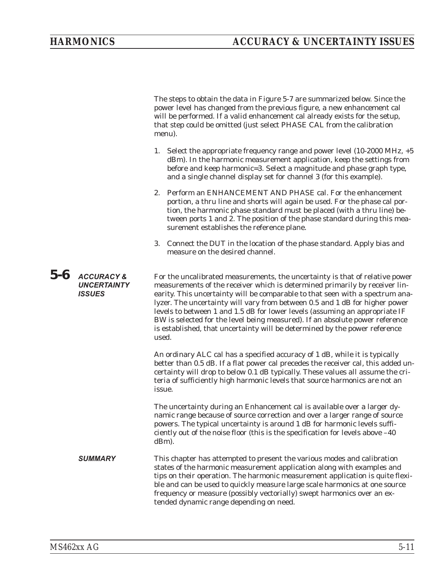The steps to obtain the data in Figure [5](#page-55-0)-[7](#page-55-0) are summarized below. Since the power level has changed from the previous figure, a new enhancement cal will be performed. If a valid enhancement cal already exists for the setup, that step could be omitted (just select PHASE CAL from the calibration menu).

- 1. Select the appropriate frequency range and power level (10-2000 MHz, +5 dBm). In the harmonic measurement application, keep the settings from before and keep harmonic=3. Select a magnitude and phase graph type, and a single channel display set for channel 3 (for this example).
- 2. Perform an ENHANCEMENT AND PHASE cal. For the enhancement portion, a thru line and shorts will again be used. For the phase cal portion, the harmonic phase standard must be placed (with a thru line) between ports 1 and 2. The position of the phase standard during this measurement establishes the reference plane.
- 3. Connect the DUT in the location of the phase standard. Apply bias and measure on the desired channel.

*5-6* **ACCURACY & UNCERTAINTY ISSUES** For the uncalibrated measurements, the uncertainty is that of relative power measurements of the receiver which is determined primarily by receiver linearity. This uncertainty will be comparable to that seen with a spectrum analyzer. The uncertainty will vary from between 0.5 and 1 dB for higher power levels to between 1 and 1.5 dB for lower levels (assuming an appropriate IF BW is selected for the level being measured). If an absolute power reference is established, that uncertainty will be determined by the power reference used. An ordinary ALC cal has a specified accuracy of 1 dB, while it is typically

better than 0.5 dB. If a flat power cal precedes the receiver cal, this added uncertainty will drop to below 0.1 dB typically. These values all assume the criteria of sufficiently high harmonic levels that source harmonics are not an issue.

The uncertainty during an Enhancement cal is available over a larger dynamic range because of source correction and over a larger range of source powers. The typical uncertainty is around 1 dB for harmonic levels sufficiently out of the noise floor (this is the specification for levels above –40 dBm).

**SUMMARY** This chapter has attempted to present the various modes and calibration states of the harmonic measurement application along with examples and tips on their operation. The harmonic measurement application is quite flexible and can be used to quickly measure large scale harmonics at one source frequency or measure (possibly vectorially) swept harmonics over an extended dynamic range depending on need.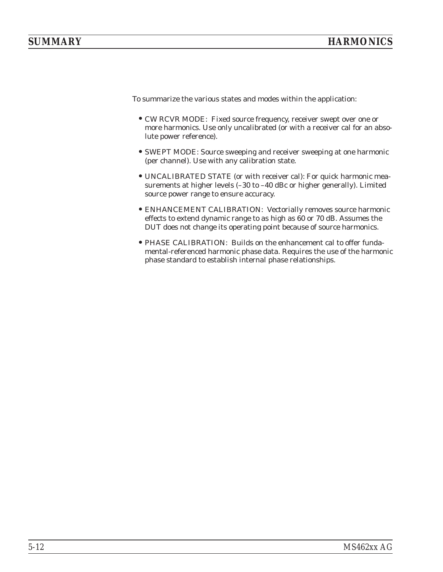To summarize the various states and modes within the application:

- CW RCVR MODE: Fixed source frequency, receiver swept over one or more harmonics. Use only uncalibrated (or with a receiver cal for an absolute power reference).
- •SWEPT MODE: Source sweeping and receiver sweeping at one harmonic (per channel). Use with any calibration state.
- UNCALIBRATED STATE (or with receiver cal): For quick harmonic measurements at higher levels (–30 to –40 dBc or higher generally). Limited source power range to ensure accuracy.
- ENHANCEMENT CALIBRATION: Vectorially removes source harmonic effects to extend dynamic range to as high as 60 or 70 dB. Assumes the DUT does not change its operating point because of source harmonics.
- •PHASE CALIBRATION: Builds on the enhancement cal to offer fundamental-referenced harmonic phase data. Requires the use of the harmonic phase standard to establish internal phase relationships.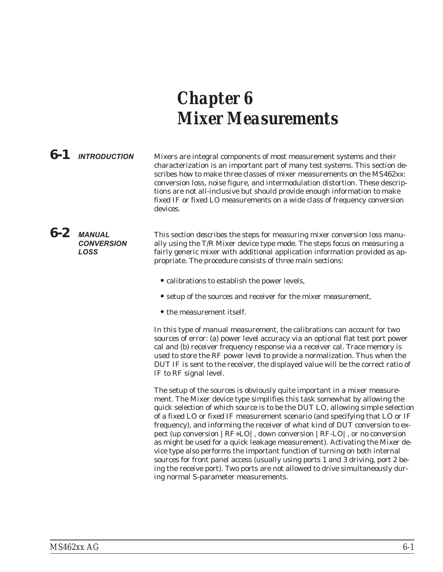# *Chapter 6 Mixer Measurements*

**6-1 INTRODUCTION** Mixers are integral components of most measurement systems and their characterization is an important part of many test systems. This section describes how to make three classes of mixer measurements on the MS462xx: conversion loss, noise figure, and intermodulation distortion. These descriptions are not all-inclusive but should provide enough information to make fixed IF or fixed LO measurements on a wide class of frequency conversion devices.

*6-2* **MANUAL CONVERSION LOSS** This section describes the steps for measuring mixer conversion loss manually using the T/R Mixer device type mode. The steps focus on measuring a fairly generic mixer with additional application information provided as appropriate. The procedure consists of three main sections:

- •calibrations to establish the power levels,
- setup of the sources and receiver for the mixer measurement,
- the measurement itself.

In this type of manual measurement, the calibrations can account for two sources of error: (a) power level accuracy via an optional flat test port power cal and (b) receiver frequency response via a receiver cal. Trace memory is used to store the RF power level to provide a normalization. Thus when the DUT IF is sent to the receiver, the displayed value will be the correct ratio of IF to RF signal level.

The setup of the sources is obviously quite important in a mixer measurement. The Mixer device type simplifies this task somewhat by allowing the quick selection of which source is to be the DUT LO, allowing simple selection of a fixed LO or fixed IF measurement scenario (and specifying that LO or IF frequency), and informing the receiver of what kind of DUT conversion to expect (up conversion |RF+LO|, down conversion |RF-LO|, or no conversion as might be used for a quick leakage measurement). Activating the Mixer device type also performs the important function of turning on both internal sources for front panel access (usually using ports 1 and 3 driving, port 2 being the receive port). Two ports are not allowed to drive simultaneously during normal S-parameter measurements.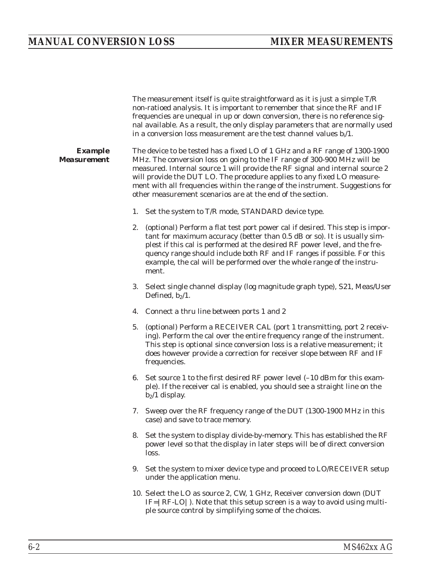The measurement itself is quite straightforward as it is just a simple T/R non-ratioed analysis. It is important to remember that since the RF and IF frequencies are unequal in up or down conversion, there is no reference signal available. As a result, the only display parameters that are normally used in a conversion loss measurement are the test channel values  $b_i/1$ . *Example Measurement* The device to be tested has a fixed LO of 1 GHz and a RF range of 1300-1900 MHz. The conversion loss on going to the IF range of 300-900 MHz will be measured. Internal source 1 will provide the RF signal and internal source 2 will provide the DUT LO. The procedure applies to any fixed LO measurement with all frequencies within the range of the instrument. Suggestions for other measurement scenarios are at the end of the section. 1. Set the system to T/R mode, STANDARD device type. 2. (optional) Perform a flat test port power cal if desired. This step is important for maximum accuracy (better than 0.5 dB or so). It is usually simplest if this cal is performed at the desired RF power level, and the frequency range should include both RF and IF ranges if possible. For this example, the cal will be performed over the whole range of the instrument. 3. Select single channel display (log magnitude graph type), S21, Meas/User Defined,  $b_2/1$ . 4. Connect a thru line between ports 1 and 2 5. (optional) Perform a RECEIVER CAL (port 1 transmitting, port 2 receiving). Perform the cal over the entire frequency range of the instrument. This step is optional since conversion loss is a relative measurement; it does however provide a correction for receiver slope between RF and IF frequencies. 6. Set source 1 to the first desired RF power level (–10 dBm for this example). If the receiver cal is enabled, you should see a straight line on the  $b_2/1$  display. 7. Sweep over the RF frequency range of the DUT (1300-1900 MHz in this case) and save to trace memory. 8. Set the system to display divide-by-memory. This has established the RF power level so that the display in later steps will be of direct conversion loss. 9. Set the system to mixer device type and proceed to LO/RECEIVER setup under the application menu. 10. Select the LO as source 2, CW, 1 GHz, Receiver conversion down (DUT IF=|RF-LO|). Note that this setup screen is a way to avoid using multiple source control by simplifying some of the choices.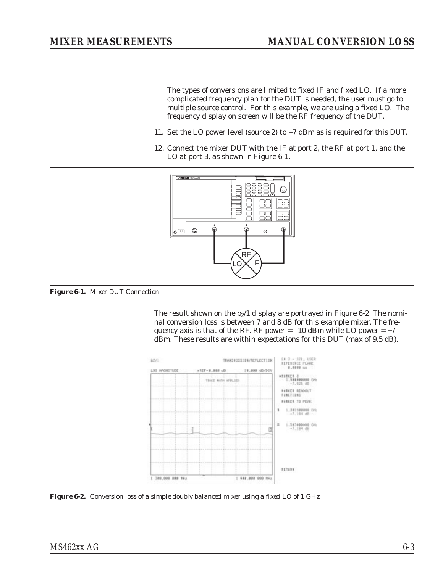<span id="page-60-0"></span>The types of conversions are limited to fixed IF and fixed LO. If a more complicated frequency plan for the DUT is needed, the user must go to multiple source control. For this example, we are using a fixed LO. The frequency display on screen will be the RF frequency of the DUT.

- 11. Set the LO power level (source 2) to +7 dBm as is required for this DUT.
- 12. Connect the mixer DUT with the IF at port 2, the RF at port 1, and the LO at port 3, as shown in Figure [6-1.](#page-60-0)



*Figure 6-1. Mixer DUT Connection*

The result shown on the  $b_2/1$  $b_2/1$  $b_2/1$  display are portrayed in Figure [6](#page-60-0)-2. The nominal conversion loss is between 7 and 8 dB for this example mixer. The frequency axis is that of the RF. RF power  $= -10$  dBm while LO power  $= +7$ dBm. These results are within expectations for this DUT (max of 9.5 dB).



*Figure 6-2. Conversion loss of a simple doubly balanced mixer using a fixed LO of 1 GHz*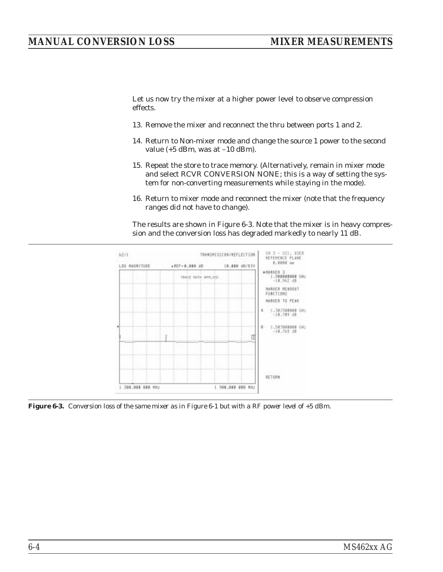# <span id="page-61-0"></span>*MANUAL CONVERSION LOSS MIXER MEASUREMENTS*

Let us now try the mixer at a higher power level to observe compression effects.

- 13. Remove the mixer and reconnect the thru between ports 1 and 2.
- 14. Return to Non-mixer mode and change the source 1 power to the second value (+5 dBm, was at –10 dBm).
- 15. Repeat the store to trace memory. (Alternatively, remain in mixer mode and select RCVR CONVERSION NONE; this is a way of setting the system for non-converting measurements while staying in the mode).
- 16. Return to mixer mode and reconnect the mixer (note that the frequency ranges did not have to change).

The results are shown in Figure [6-3](#page-61-0). Note that the mixer is in heavy compression and the conversion loss has degraded markedly to nearly 11 dB.



*Figure 6-3. Conversion loss of the same mixer as in Figure 6-1 but with a RF power level of +5 dBm.*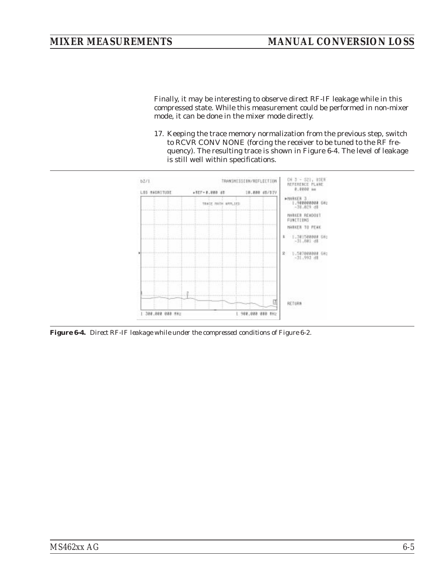<span id="page-62-0"></span>Finally, it may be interesting to observe direct RF-IF leakage while in this compressed state. While this measurement could be performed in non-mixer mode, it can be done in the mixer mode directly.

17. Keeping the trace memory normalization from the previous step, switch to RCVR CONV NONE (forcing the receiver to be tuned to the RF frequency). The resulting trace is shown in Figure [6-4.](#page-62-0) The level of leakage is still well within specifications.



*Figure 6-4. Direct RF-IF leakage while under the compressed conditions of Figure 6-2.*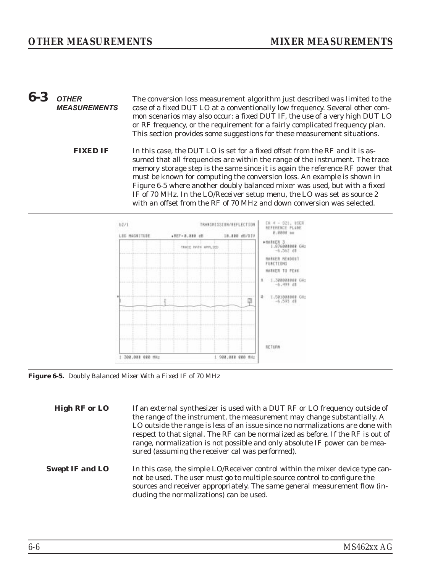### <span id="page-63-0"></span>*6-3* **OTHER MEASUREMENTS** The conversion loss measurement algorithm just described was limited to the case of a fixed DUT LO at a conventionally low frequency. Several other common scenarios may also occur: a fixed DUT IF, the use of a very high DUT LO or RF frequency, or the requirement for a fairly complicated frequency plan. This section provides some suggestions for these measurement situations. *FIXED IF* In this case, the DUT LO is set for a fixed offset from the RF and it is assumed that all frequencies are within the range of the instrument. The trace memory storage step is the same since it is again the reference RF power that must be known for computing the conversion loss. An example is shown in Figure [6-5](#page-63-0) where another doubly balanced mixer was used, but with a fixed



IF of 70 MHz. In the LO/Receiver setup menu, the LO was set as source 2 with an offset from the RF of 70 MHz and down conversion was selected.

*Figure 6-5. Doubly Balanced Mixer With a Fixed IF of 70 MHz*

| <b>High RF or LO</b>   | If an external synthesizer is used with a DUT RF or LO frequency outside of<br>the range of the instrument, the measurement may change substantially. A<br>LO outside the range is less of an issue since no normalizations are done with<br>respect to that signal. The RF can be normalized as before. If the RF is out of<br>range, normalization is not possible and only absolute IF power can be mea-<br>sured (assuming the receiver cal was performed). |
|------------------------|-----------------------------------------------------------------------------------------------------------------------------------------------------------------------------------------------------------------------------------------------------------------------------------------------------------------------------------------------------------------------------------------------------------------------------------------------------------------|
| <b>Swept IF and LO</b> | In this case, the simple LO/Receiver control within the mixer device type can-<br>not be used. The user must go to multiple source control to configure the<br>sources and receiver appropriately. The same general measurement flow (in-<br>cluding the normalizations) can be used.                                                                                                                                                                           |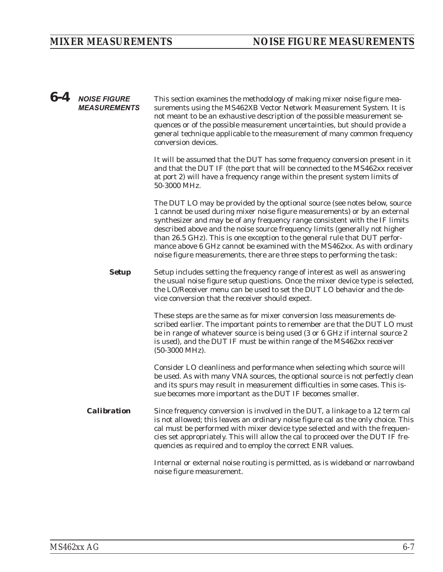| $6-4$ | <b>NOISE FIGURE</b><br><b>MEASUREMENTS</b> | This section examines the methodology of making mixer noise figure mea-<br>surements using the MS462XB Vector Network Measurement System. It is<br>not meant to be an exhaustive description of the possible measurement se-<br>quences or of the possible measurement uncertainties, but should provide a<br>general technique applicable to the measurement of many common frequency<br>conversion devices.                                                                                                                                               |
|-------|--------------------------------------------|-------------------------------------------------------------------------------------------------------------------------------------------------------------------------------------------------------------------------------------------------------------------------------------------------------------------------------------------------------------------------------------------------------------------------------------------------------------------------------------------------------------------------------------------------------------|
|       |                                            | It will be assumed that the DUT has some frequency conversion present in it<br>and that the DUT IF (the port that will be connected to the MS462xx receiver<br>at port 2) will have a frequency range within the present system limits of<br>50-3000 MHz.                                                                                                                                                                                                                                                                                                   |
|       |                                            | The DUT LO may be provided by the optional source (see notes below, source<br>1 cannot be used during mixer noise figure measurements) or by an external<br>synthesizer and may be of any frequency range consistent with the IF limits<br>described above and the noise source frequency limits (generally not higher<br>than 26.5 GHz). This is one exception to the general rule that DUT perfor-<br>mance above 6 GHz cannot be examined with the MS462xx. As with ordinary<br>noise figure measurements, there are three steps to performing the task: |
|       | <b>Setup</b>                               | Setup includes setting the frequency range of interest as well as answering<br>the usual noise figure setup questions. Once the mixer device type is selected,<br>the LO/Receiver menu can be used to set the DUT LO behavior and the de-<br>vice conversion that the receiver should expect.                                                                                                                                                                                                                                                               |
|       |                                            | These steps are the same as for mixer conversion loss measurements de-<br>scribed earlier. The important points to remember are that the DUT LO must<br>be in range of whatever source is being used (3 or 6 GHz if internal source 2<br>is used), and the DUT IF must be within range of the MS462xx receiver<br>$(50-3000 \text{ MHz}).$                                                                                                                                                                                                                  |
|       |                                            | Consider LO cleanliness and performance when selecting which source will<br>be used. As with many VNA sources, the optional source is not perfectly clean<br>and its spurs may result in measurement difficulties in some cases. This is-<br>sue becomes more important as the DUT IF becomes smaller.                                                                                                                                                                                                                                                      |
|       | <b>Calibration</b>                         | Since frequency conversion is involved in the DUT, a linkage to a 12 term cal<br>is not allowed; this leaves an ordinary noise figure cal as the only choice. This<br>cal must be performed with mixer device type selected and with the frequen-<br>cies set appropriately. This will allow the cal to proceed over the DUT IF fre-<br>quencies as required and to employ the correct ENR values.                                                                                                                                                          |
|       |                                            | Internal or external noise routing is permitted, as is wideband or narrowband<br>noise figure measurement.                                                                                                                                                                                                                                                                                                                                                                                                                                                  |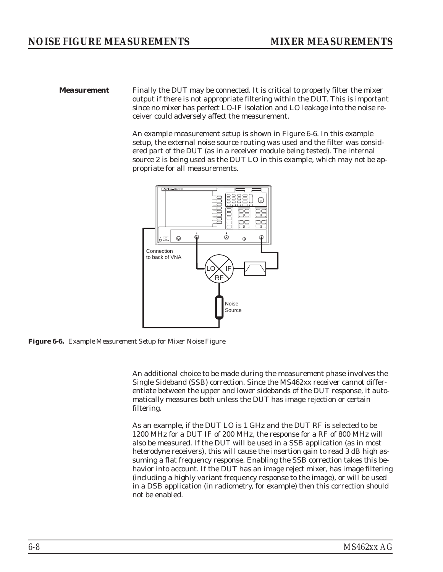<span id="page-65-0"></span>*Measurement* Finally the DUT may be connected. It is critical to properly filter the mixer output if there is not appropriate filtering within the DUT. This is important since no mixer has perfect LO-IF isolation and LO leakage into the noise receiver could adversely affect the measurement.

> An example measurement setup is shown in Figure [6-6](#page-65-0). In this example setup, the external noise source routing was used and the filter was considered part of the DUT (as in a receiver module being tested). The internal source 2 is being used as the DUT LO in this example, which may not be appropriate for all measurements.



*Figure 6-6. Example Measurement Setup for Mixer Noise Figure*

An additional choice to be made during the measurement phase involves the Single Sideband (SSB) correction. Since the MS462xx receiver cannot differentiate between the upper and lower sidebands of the DUT response, it automatically measures both unless the DUT has image rejection or certain filtering.

As an example, if the DUT LO is 1 GHz and the DUT RF is selected to be 1200 MHz for a DUT IF of 200 MHz, the response for a RF of 800 MHz will also be measured. If the DUT will be used in a SSB application (as in most heterodyne receivers), this will cause the insertion gain to read 3 dB high assuming a flat frequency response. Enabling the SSB correction takes this behavior into account. If the DUT has an image reject mixer, has image filtering (including a highly variant frequency response to the image), or will be used in a DSB application (in radiometry, for example) then this correction should not be enabled.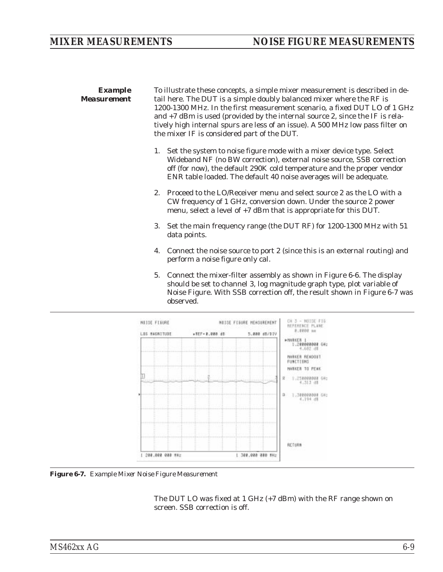<span id="page-66-0"></span>*Example Measurement* To illustrate these concepts, a simple mixer measurement is described in detail here. The DUT is a simple doubly balanced mixer where the RF is 1200-1300 MHz. In the first measurement scenario, a fixed DUT LO of 1 GHz and +7 dBm is used (provided by the internal source 2, since the IF is relatively high internal spurs are less of an issue). A 500 MHz low pass filter on the mixer IF is considered part of the DUT. 1. Set the system to noise figure mode with a mixer device type. Select Wideband NF (no BW correction), external noise source, SSB correction off (for now), the default 290K cold temperature and the proper vendor ENR table loaded. The default 40 noise averages will be adequate. 2. Proceed to the LO/Receiver menu and select source 2 as the LO with a CW frequency of 1 GHz, conversion down. Under the source 2 power menu, select a level of +7 dBm that is appropriate for this DUT. 3. Set the main frequency range (the DUT RF) for 1200-1300 MHz with 51 data points.

- 4. Connect the noise source to port 2 (since this is an external routing) and perform a noise figure only cal.
- 5. Connect the mixer-filter assembly as shown in Figure [6-6](#page-65-0). The display should be set to channel 3, log magnitude graph type, plot variable of Noise Figure. With SSB correction off, the result shown in Figure [6](#page-66-0)-[7](#page-66-0) was observed.



*Figure 6-7. Example Mixer Noise Figure Measurement*

The DUT LO was fixed at 1 GHz (+7 dBm) with the RF range shown on screen. SSB correction is off.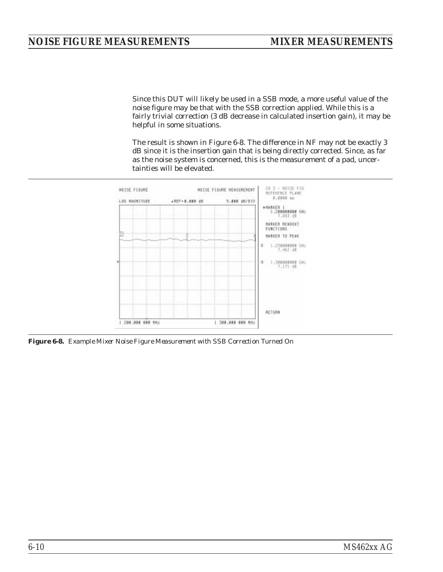<span id="page-67-0"></span>Since this DUT will likely be used in a SSB mode, a more useful value of the noise figure may be that with the SSB correction applied. While this is a fairly trivial correction (3 dB decrease in calculated insertion gain), it may be helpful in some situations.

The result is shown in Figure [6-8.](#page-67-0) The difference in NF may not be exactly 3 dB since it is the insertion gain that is being directly corrected. Since, as far as the noise system is concerned, this is the measurement of a pad, uncertainties will be elevated.



*Figure 6-8. Example Mixer Noise Figure Measurement with SSB Correction Turned On*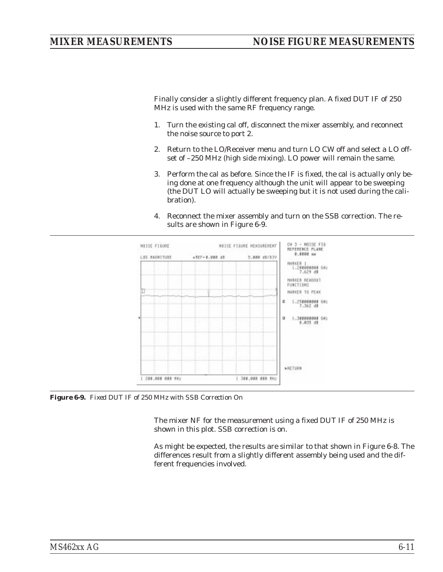<span id="page-68-0"></span>Finally consider a slightly different frequency plan. A fixed DUT IF of 250 MHz is used with the same RF frequency range.

- 1. Turn the existing cal off, disconnect the mixer assembly, and reconnect the noise source to port 2.
- 2. Return to the LO/Receiver menu and turn LO CW off and select a LO offset of –250 MHz (high side mixing). LO power will remain the same.
- 3. Perform the cal as before. Since the IF is fixed, the cal is actually only being done at one frequency although the unit will appear to be sweeping (the DUT LO will actually be sweeping but it is not used during the calibration).
- 4. Reconnect the mixer assembly and turn on the SSB correction. The results are shown in Figure [6-9](#page-68-0).



*Figure 6-9. Fixed DUT IF of 250 MHz with SSB Correction On*

The mixer NF for the measurement using a fixed DUT IF of 250 MHz is shown in this plot. SSB correction is on.

As might be expected, the results are similar to that shown in Figure [6](#page-67-0)-[8](#page-67-0). The differences result from a slightly different assembly being used and the different frequencies involved.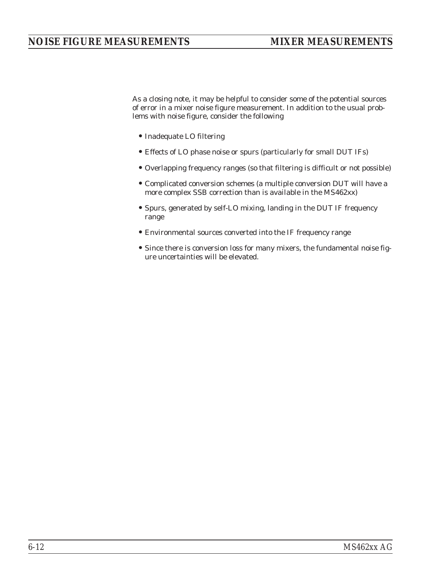As a closing note, it may be helpful to consider some of the potential sources of error in a mixer noise figure measurement. In addition to the usual problems with noise figure, consider the following

- •Inadequate LO filtering
- Effects of LO phase noise or spurs (particularly for small DUT IFs)
- •Overlapping frequency ranges (so that filtering is difficult or not possible)
- Complicated conversion schemes (a multiple conversion DUT will have a more complex SSB correction than is available in the MS462xx)
- •Spurs, generated by self-LO mixing, landing in the DUT IF frequency range
- Environmental sources converted into the IF frequency range
- •Since there is conversion loss for many mixers, the fundamental noise figure uncertainties will be elevated.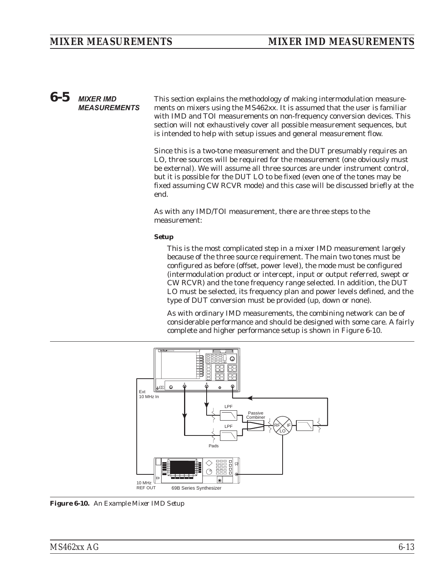# <span id="page-70-0"></span>*6-5* **MIXER IMD MEASUREMENTS**

This section explains the methodology of making intermodulation measurements on mixers using the MS462xx. It is assumed that the user is familiar with IMD and TOI measurements on non-frequency conversion devices. This section will not exhaustively cover all possible measurement sequences, but is intended to help with setup issues and general measurement flow.

Since this is a two-tone measurement and the DUT presumably requires an LO, three sources will be required for the measurement (one obviously must be external). We will assume all three sources are under instrument control, but it is possible for the DUT LO to be fixed (even one of the tones may be fixed assuming CW RCVR mode) and this case will be discussed briefly at the end.

As with any IMD/TOI measurement, there are three steps to the measurement:

# *Setup*

This is the most complicated step in a mixer IMD measurement largely because of the three source requirement. The main two tones must be configured as before (offset, power level), the mode must be configured (intermodulation product or intercept, input or output referred, swept or CW RCVR) and the tone frequency range selected. In addition, the DUT LO must be selected, its frequency plan and power levels defined, and the type of DUT conversion must be provided (up, down or none).

As with ordinary IMD measurements, the combining network can be of considerable performance and should be designed with some care. A fairly complete and higher performance setup is shown in Figure [6-10](#page-70-0).



*Figure 6-10. An Example Mixer IMD Setup*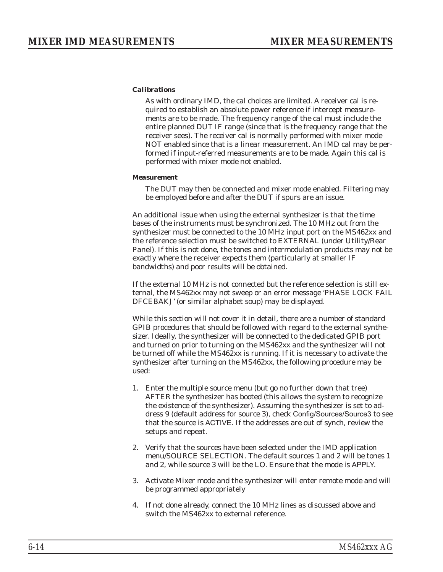## *Calibrations*

As with ordinary IMD, the cal choices are limited. A receiver cal is required to establish an absolute power reference if intercept measurements are to be made. The frequency range of the cal must include the entire planned DUT IF range (since that is the frequency range that the receiver sees). The receiver cal is normally performed with mixer mode NOT enabled since that is a linear measurement. An IMD cal may be performed if input-referred measurements are to be made. Again this cal is performed with mixer mode not enabled.

### *Measurement*

The DUT may then be connected and mixer mode enabled. Filtering may be employed before and after the DUT if spurs are an issue.

An additional issue when using the external synthesizer is that the time bases of the instruments must be synchronized. The 10 MHz out from the synthesizer must be connected to the 10 MHz input port on the MS462xx and the reference selection must be switched to EXTERNAL (under Utility/Rear Panel). If this is not done, the tones and intermodulation products may not be exactly where the receiver expects them (particularly at smaller IF bandwidths) and poor results will be obtained.

If the external 10 MHz is not connected but the reference selection is still external, the MS462xx may not sweep or an error message 'PHASE LOCK FAIL DFCEBAKJ' (or similar alphabet soup) may be displayed.

While this section will not cover it in detail, there are a number of standard GPIB procedures that should be followed with regard to the external synthesizer. Ideally, the synthesizer will be connected to the dedicated GPIB port and turned on prior to turning on the MS462xx and the synthesizer will not be turned off while the MS462xx is running. If it is necessary to activate the synthesizer after turning on the MS462xx, the following procedure may be used:

- 1. Enter the multiple source menu (but go no further down that tree) AFTER the synthesizer has booted (this allows the system to recognize the existence of the synthesizer). Assuming the synthesizer is set to address 9 (default address for source 3), check Config/Sources/Source3 to see that the source is ACTIVE. If the addresses are out of synch, review the setups and repeat.
- 2. Verify that the sources have been selected under the IMD application menu/SOURCE SELECTION. The default sources 1 and 2 will be tones 1 and 2, while source 3 will be the LO. Ensure that the mode is APPLY.
- 3. Activate Mixer mode and the synthesizer will enter remote mode and will be programmed appropriately
- 4. If not done already, connect the 10 MHz lines as discussed above and switch the MS462xx to external reference.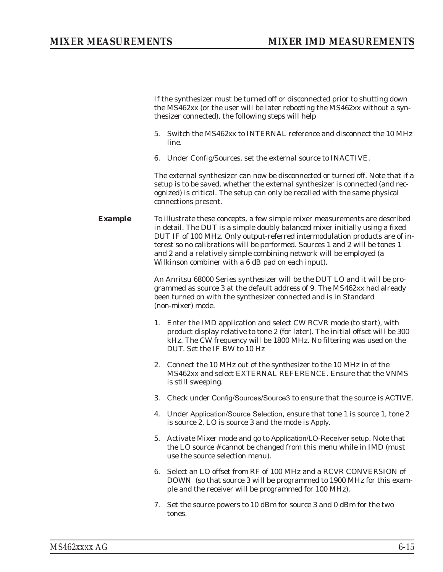If the synthesizer must be turned off or disconnected prior to shutting down the MS462xx (or the user will be later rebooting the MS462xx without a synthesizer connected), the following steps will help

- 5. Switch the MS462xx to INTERNAL reference and disconnect the 10 MHz line.
- 6. Under Config/Sources, set the external source to INACTIVE.

The external synthesizer can now be disconnected or turned off. Note that if a setup is to be saved, whether the external synthesizer is connected (and recognized) is critical. The setup can only be recalled with the same physical connections present.

**Example** To illustrate these concepts, a few simple mixer measurements are described in detail. The DUT is a simple doubly balanced mixer initially using a fixed DUT IF of 100 MHz. Only output-referred intermodulation products are of interest so no calibrations will be performed. Sources 1 and 2 will be tones 1 and 2 and a relatively simple combining network will be employed (a Wilkinson combiner with a 6 dB pad on each input).

> An Anritsu 68000 Series synthesizer will be the DUT LO and it will be programmed as source 3 at the default address of 9. The MS462xx had already been turned on with the synthesizer connected and is in Standard (non-mixer) mode.

- 1. Enter the IMD application and select CW RCVR mode (to start), with product display relative to tone 2 (for later). The initial offset will be 300 kHz. The CW frequency will be 1800 MHz. No filtering was used on the DUT. Set the IF BW to 10 Hz
- 2. Connect the 10 MHz out of the synthesizer to the 10 MHz in of the MS462xx and select EXTERNAL REFERENCE. Ensure that the VNMS is still sweeping.
- 3. Check under Config/Sources/Source3 to ensure that the source is ACTIVE.
- 4. Under Application/Source Selection, ensure that tone 1 is source 1, tone 2 is source 2, LO is source 3 and the mode is Apply.
- 5. Activate Mixer mode and go to Application/LO-Receiver setup. Note that the LO source # cannot be changed from this menu while in IMD (must use the source selection menu).
- 6. Select an LO offset from RF of 100 MHz and a RCVR CONVERSION of DOWN (so that source 3 will be programmed to 1900 MHz for this example and the receiver will be programmed for 100 MHz).
- 7. Set the source powers to 10 dBm for source 3 and 0 dBm for the two tones.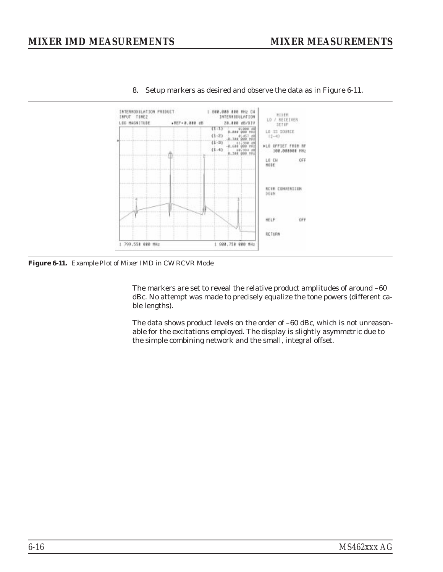

<span id="page-73-0"></span>8. Setup markers as desired and observe the data as in Figure [6](#page-73-0)-[11](#page-73-0).

*Figure 6-11. Example Plot of Mixer IMD in CW RCVR Mode*

The markers are set to reveal the relative product amplitudes of around –60 dBc. No attempt was made to precisely equalize the tone powers (different cable lengths).

The data shows product levels on the order of –60 dBc, which is not unreasonable for the excitations employed. The display is slightly asymmetric due to the simple combining network and the small, integral offset.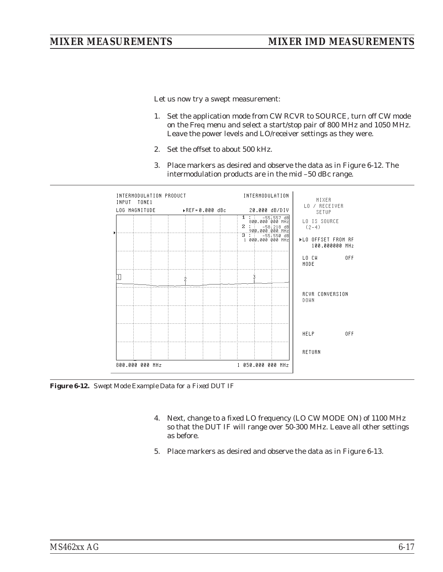<span id="page-74-0"></span>Let us now try a swept measurement:

- 1. Set the application mode from CW RCVR to SOURCE, turn off CW mode on the Freq menu and select a start/stop pair of 800 MHz and 1050 MHz. Leave the power levels and LO/receiver settings as they were.
- 2. Set the offset to about 500 kHz.
- 3. Place markers as desired and observe the data as in Figure [6-12.](#page-74-0) The intermodulation products are in the mid –50 dBc range.

| INTERMODULATION PRODUCT<br>INPUT TONE1 |  | INTERMODULATION                                     | MIXER                                                                                                                                                                                                                                                                                 |
|----------------------------------------|--|-----------------------------------------------------|---------------------------------------------------------------------------------------------------------------------------------------------------------------------------------------------------------------------------------------------------------------------------------------|
| LOG MAGNITUDE >REF=0.000 dBc           |  | 20.000 dB/DIV<br>$1: -55:557$ dB<br>800.000 000 MHZ | LO / RECEIVER<br>SETUP<br>LO IS SOURCE<br>$(2-4)$                                                                                                                                                                                                                                     |
|                                        |  | 1000.0000000                                        | ▶LO OFFSET FROM RF<br>100.000000 MHz<br>0FF<br>LO CH DISPONSIVO DI CARDIO DI CARDIO DI CARDIO DI CARDIO CARDIO CARDIO CARDIO CARDIO CARDIO CARDIO CARDIO CARDIO CARDIO CARDIO CARDIO CARDIO CARDIO CARDIO CARDIO CARDIO CARDIO CARDIO CARDIO CARDIO CARDIO CARDIO CARDIO CARD<br>MODE |
|                                        |  |                                                     | <b>RCVR CONVERSION</b><br><b>DOWN</b>                                                                                                                                                                                                                                                 |
|                                        |  |                                                     | HELP <b>AND REALLY</b><br>0FF                                                                                                                                                                                                                                                         |
| 800.000 000 MHz                        |  | 1 050.000 000 MHz                                   | RETURN                                                                                                                                                                                                                                                                                |

*Figure 6-12. Swept Mode Example Data for a Fixed DUT IF*

- 4. Next, change to a fixed LO frequency (LO CW MODE ON) of 1100 MHz so that the DUT IF will range over 50-300 MHz. Leave all other settings as before.
- 5. Place markers as desired and observe the data as in Figure [6-13.](#page-75-0)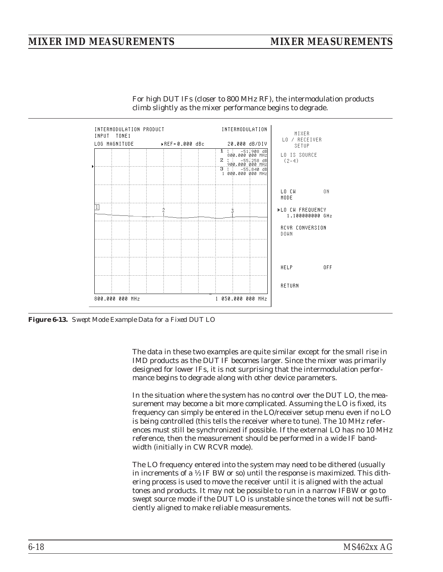## <span id="page-75-0"></span>*MIXER IMD MEASUREMENTS MIXER MEASUREMENTS*



For high DUT IFs (closer to 800 MHz RF), the intermodulation products climb slightly as the mixer performance begins to degrade.

*Figure 6-13. Swept Mode Example Data for a Fixed DUT LO*

The data in these two examples are quite similar except for the small rise in IMD products as the DUT IF becomes larger. Since the mixer was primarily designed for lower IFs, it is not surprising that the intermodulation performance begins to degrade along with other device parameters.

In the situation where the system has no control over the DUT LO, the measurement may become a bit more complicated. Assuming the LO is fixed, its frequency can simply be entered in the LO/receiver setup menu even if no LO is being controlled (this tells the receiver where to tune). The 10 MHz references must still be synchronized if possible. If the external LO has no 10 MHz reference, then the measurement should be performed in a wide IF bandwidth (initially in CW RCVR mode).

The LO frequency entered into the system may need to be dithered (usually in increments of a ½ IF BW or so) until the response is maximized. This dithering process is used to move the receiver until it is aligned with the actual tones and products. It may not be possible to run in a narrow IFBW or go to swept source mode if the DUT LO is unstable since the tones will not be sufficiently aligned to make reliable measurements.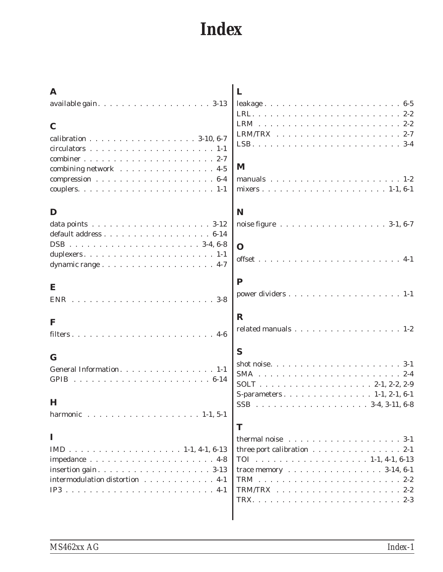# *Index*

| A<br>$\mathbf C$<br>calibration 3-10, 6-7                                                                 | L                                                           |  |  |  |  |  |  |  |  |
|-----------------------------------------------------------------------------------------------------------|-------------------------------------------------------------|--|--|--|--|--|--|--|--|
| combining network 4-5                                                                                     | M                                                           |  |  |  |  |  |  |  |  |
| D                                                                                                         | N<br>noise figure 3-1, 6-7<br>$\mathbf \Omega$              |  |  |  |  |  |  |  |  |
| E                                                                                                         | ${\bf P}$                                                   |  |  |  |  |  |  |  |  |
| <b>ENR</b><br>F                                                                                           | $\mathbf R$                                                 |  |  |  |  |  |  |  |  |
| $\mathbf G$                                                                                               | related manuals 1-2<br>S                                    |  |  |  |  |  |  |  |  |
| General Information. 1-1<br>$\bf H$                                                                       | <b>SSB</b>                                                  |  |  |  |  |  |  |  |  |
| harmonic 1-1, 5-1<br>1                                                                                    | $3-4.3-11.6-8$<br>.<br>T<br>thermal noise $\ldots$<br>$3-1$ |  |  |  |  |  |  |  |  |
| insertion gain. $\ldots \ldots \ldots \ldots \ldots \ldots \ldots 3-13$<br>intermodulation distortion 4-1 | three port calibration 2-1<br>trace memory 3-14, 6-1        |  |  |  |  |  |  |  |  |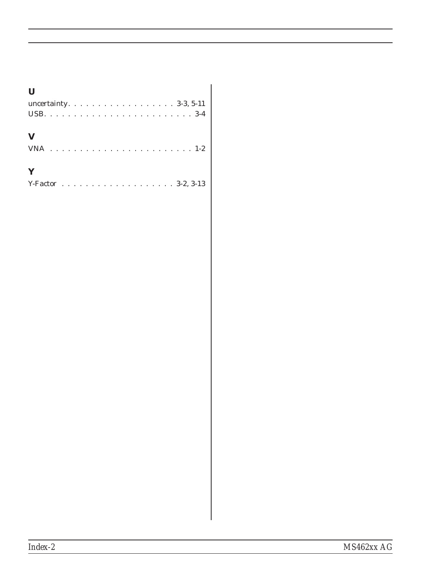| $\bf{U}$                       |  |  |  |  |  |  |  |  |  |
|--------------------------------|--|--|--|--|--|--|--|--|--|
| uncertainty. $\dots$ 3-3, 5-11 |  |  |  |  |  |  |  |  |  |
|                                |  |  |  |  |  |  |  |  |  |
| $\mathbf{V}$                   |  |  |  |  |  |  |  |  |  |
| Y                              |  |  |  |  |  |  |  |  |  |

### *Index-2 MS462xx AG*